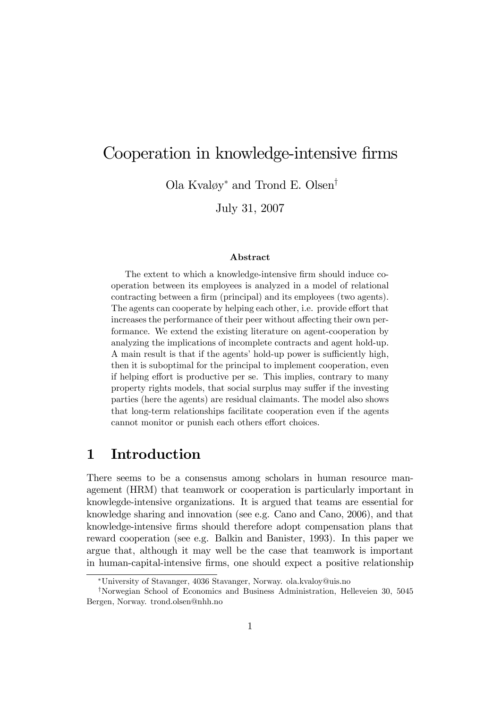# Cooperation in knowledge-intensive firms

Ola Kvaløy<sup>\*</sup> and Trond E. Olsen<sup>†</sup>

July 31, 2007

### Abstract

The extent to which a knowledge-intensive firm should induce cooperation between its employees is analyzed in a model of relational contracting between a firm (principal) and its employees (two agents). The agents can cooperate by helping each other, i.e. provide effort that increases the performance of their peer without affecting their own performance. We extend the existing literature on agent-cooperation by analyzing the implications of incomplete contracts and agent hold-up. A main result is that if the agents' hold-up power is sufficiently high, then it is suboptimal for the principal to implement cooperation, even if helping effort is productive per se. This implies, contrary to many property rights models, that social surplus may suffer if the investing parties (here the agents) are residual claimants. The model also shows that long-term relationships facilitate cooperation even if the agents cannot monitor or punish each others effort choices.

## 1 Introduction

There seems to be a consensus among scholars in human resource management (HRM) that teamwork or cooperation is particularly important in knowlegde-intensive organizations. It is argued that teams are essential for knowledge sharing and innovation (see e.g. Cano and Cano, 2006), and that knowledge-intensive Örms should therefore adopt compensation plans that reward cooperation (see e.g. Balkin and Banister, 1993). In this paper we argue that, although it may well be the case that teamwork is important in human-capital-intensive Örms, one should expect a positive relationship

University of Stavanger, 4036 Stavanger, Norway. ola.kvaloy@uis.no

<sup>&</sup>lt;sup>†</sup>Norwegian School of Economics and Business Administration, Helleveien 30, 5045 Bergen, Norway. trond.olsen@nhh.no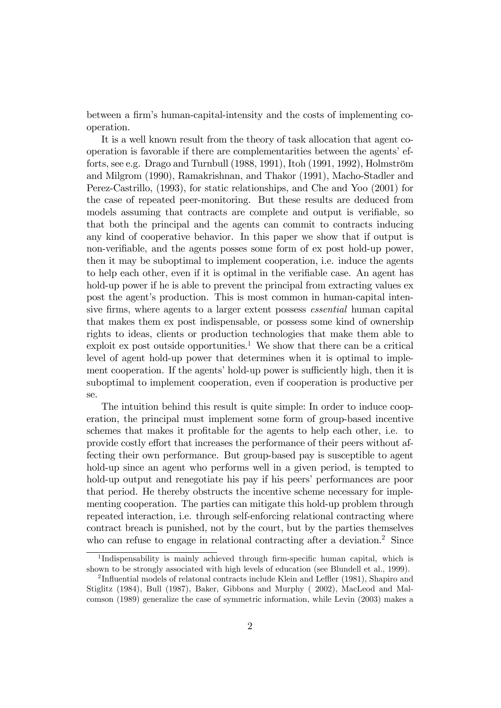between a firm's human-capital-intensity and the costs of implementing cooperation.

It is a well known result from the theory of task allocation that agent cooperation is favorable if there are complementarities between the agents' efforts, see e.g. Drago and Turnbull  $(1988, 1991)$ , Itoh  $(1991, 1992)$ , Holmström and Milgrom (1990), Ramakrishnan, and Thakor (1991), Macho-Stadler and Perez-Castrillo, (1993), for static relationships, and Che and Yoo (2001) for the case of repeated peer-monitoring. But these results are deduced from models assuming that contracts are complete and output is verifiable, so that both the principal and the agents can commit to contracts inducing any kind of cooperative behavior. In this paper we show that if output is non-verifiable, and the agents posses some form of ex post hold-up power, then it may be suboptimal to implement cooperation, i.e. induce the agents to help each other, even if it is optimal in the verifiable case. An agent has hold-up power if he is able to prevent the principal from extracting values ex post the agent's production. This is most common in human-capital intensive firms, where agents to a larger extent possess *essential* human capital that makes them ex post indispensable, or possess some kind of ownership rights to ideas, clients or production technologies that make them able to exploit ex post outside opportunities.<sup>1</sup> We show that there can be a critical level of agent hold-up power that determines when it is optimal to implement cooperation. If the agents' hold-up power is sufficiently high, then it is suboptimal to implement cooperation, even if cooperation is productive per se.

The intuition behind this result is quite simple: In order to induce cooperation, the principal must implement some form of group-based incentive schemes that makes it profitable for the agents to help each other, i.e. to provide costly effort that increases the performance of their peers without affecting their own performance. But group-based pay is susceptible to agent hold-up since an agent who performs well in a given period, is tempted to hold-up output and renegotiate his pay if his peers' performances are poor that period. He thereby obstructs the incentive scheme necessary for implementing cooperation. The parties can mitigate this hold-up problem through repeated interaction, i.e. through self-enforcing relational contracting where contract breach is punished, not by the court, but by the parties themselves who can refuse to engage in relational contracting after a deviation.<sup>2</sup> Since

<sup>&</sup>lt;sup>1</sup>Indispensability is mainly achieved through firm-specific human capital, which is shown to be strongly associated with high levels of education (see Blundell et al., 1999).

<sup>&</sup>lt;sup>2</sup>Influential models of relatonal contracts include Klein and Leffler (1981), Shapiro and Stiglitz (1984), Bull (1987), Baker, Gibbons and Murphy ( 2002), MacLeod and Malcomson (1989) generalize the case of symmetric information, while Levin (2003) makes a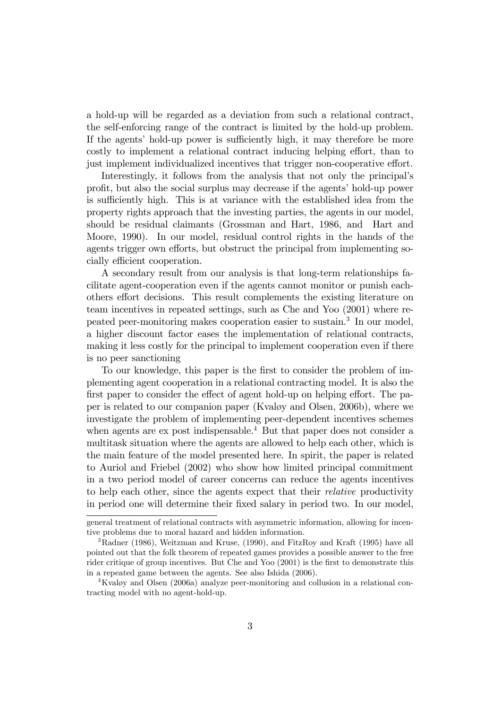a hold-up will be regarded as a deviation from such a relational contract, the self-enforcing range of the contract is limited by the hold-up problem. If the agents' hold-up power is sufficiently high, it may therefore be more costly to implement a relational contract inducing helping effort, than to just implement individualized incentives that trigger non-cooperative effort.

Interestingly, it follows from the analysis that not only the principalís profit, but also the social surplus may decrease if the agents' hold-up power is sufficiently high. This is at variance with the established idea from the property rights approach that the investing parties, the agents in our model, should be residual claimants (Grossman and Hart, 1986, and Hart and Moore, 1990). In our model, residual control rights in the hands of the agents trigger own efforts, but obstruct the principal from implementing socially efficient cooperation.

A secondary result from our analysis is that long-term relationships facilitate agent-cooperation even if the agents cannot monitor or punish eachothers effort decisions. This result complements the existing literature on team incentives in repeated settings, such as Che and Yoo (2001) where repeated peer-monitoring makes cooperation easier to sustain.<sup>3</sup> In our model, a higher discount factor eases the implementation of relational contracts, making it less costly for the principal to implement cooperation even if there is no peer sanctioning

To our knowledge, this paper is the first to consider the problem of implementing agent cooperation in a relational contracting model. It is also the first paper to consider the effect of agent hold-up on helping effort. The paper is related to our companion paper (Kvaløy and Olsen, 2006b), where we investigate the problem of implementing peer-dependent incentives schemes when agents are ex post indispensable.<sup>4</sup> But that paper does not consider a multitask situation where the agents are allowed to help each other, which is the main feature of the model presented here. In spirit, the paper is related to Auriol and Friebel (2002) who show how limited principal commitment in a two period model of career concerns can reduce the agents incentives to help each other, since the agents expect that their relative productivity in period one will determine their Öxed salary in period two. In our model,

general treatment of relational contracts with asymmetric information, allowing for incentive problems due to moral hazard and hidden information.

<sup>3</sup>Radner (1986), Weitzman and Kruse, (1990), and FitzRoy and Kraft (1995) have all pointed out that the folk theorem of repeated games provides a possible answer to the free rider critique of group incentives. But Che and Yoo (2001) is the first to demonstrate this in a repeated game between the agents. See also Ishida (2006).

 $4$ Kvaløy and Olsen (2006a) analyze peer-monitoring and collusion in a relational contracting model with no agent-hold-up.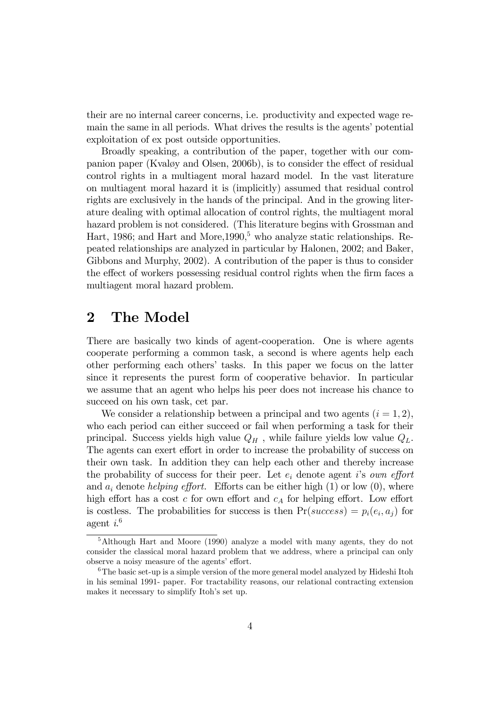their are no internal career concerns, i.e. productivity and expected wage remain the same in all periods. What drives the results is the agents' potential exploitation of ex post outside opportunities.

Broadly speaking, a contribution of the paper, together with our companion paper (Kvaløy and Olsen, 2006b), is to consider the effect of residual control rights in a multiagent moral hazard model. In the vast literature on multiagent moral hazard it is (implicitly) assumed that residual control rights are exclusively in the hands of the principal. And in the growing literature dealing with optimal allocation of control rights, the multiagent moral hazard problem is not considered. (This literature begins with Grossman and Hart, 1986; and Hart and More, 1990,<sup>5</sup> who analyze static relationships. Repeated relationships are analyzed in particular by Halonen, 2002; and Baker, Gibbons and Murphy, 2002). A contribution of the paper is thus to consider the effect of workers possessing residual control rights when the firm faces a multiagent moral hazard problem.

## 2 The Model

There are basically two kinds of agent-cooperation. One is where agents cooperate performing a common task, a second is where agents help each other performing each othersí tasks. In this paper we focus on the latter since it represents the purest form of cooperative behavior. In particular we assume that an agent who helps his peer does not increase his chance to succeed on his own task, cet par.

We consider a relationship between a principal and two agents  $(i = 1, 2)$ , who each period can either succeed or fail when performing a task for their principal. Success yields high value  $Q_H$ , while failure yields low value  $Q_L$ . The agents can exert effort in order to increase the probability of success on their own task. In addition they can help each other and thereby increase the probability of success for their peer. Let  $e_i$  denote agent is own effort and  $a_i$  denote *helping effort*. Efforts can be either high (1) or low (0), where high effort has a cost c for own effort and  $c<sub>A</sub>$  for helping effort. Low effort is costless. The probabilities for success is then  $Pr(success) = p_i(e_i, a_j)$  for agent  $i^{6}$ 

<sup>5</sup>Although Hart and Moore (1990) analyze a model with many agents, they do not consider the classical moral hazard problem that we address, where a principal can only observe a noisy measure of the agents' effort.

 $6$ The basic set-up is a simple version of the more general model analyzed by Hideshi Itoh in his seminal 1991- paper. For tractability reasons, our relational contracting extension makes it necessary to simplify Itoh's set up.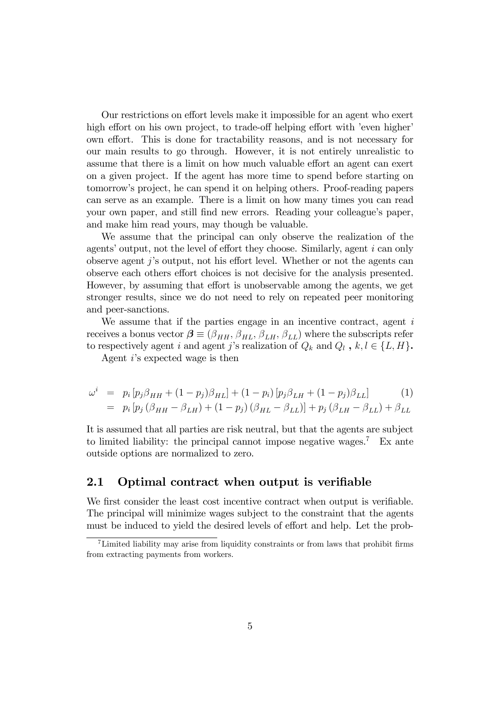Our restrictions on effort levels make it impossible for an agent who exert high effort on his own project, to trade-off helping effort with 'even higher' own effort. This is done for tractability reasons, and is not necessary for our main results to go through. However, it is not entirely unrealistic to assume that there is a limit on how much valuable effort an agent can exert on a given project. If the agent has more time to spend before starting on tomorrowís project, he can spend it on helping others. Proof-reading papers can serve as an example. There is a limit on how many times you can read your own paper, and still find new errors. Reading your colleague's paper, and make him read yours, may though be valuable.

We assume that the principal can only observe the realization of the agents' output, not the level of effort they choose. Similarly, agent  $i$  can only observe agent j's output, not his effort level. Whether or not the agents can observe each others effort choices is not decisive for the analysis presented. However, by assuming that effort is unobservable among the agents, we get stronger results, since we do not need to rely on repeated peer monitoring and peer-sanctions.

We assume that if the parties engage in an incentive contract, agent  $i$ receives a bonus vector  $\boldsymbol{\beta} \equiv (\beta_{HH}, \beta_{HL}, \beta_{LH}, \beta_{LL})$  where the subscripts refer to respectively agent i and agent j's realization of  $Q_k$  and  $Q_l$ ,  $k, l \in \{L, H\}$ .

Agent iís expected wage is then

$$
\omega^{i} = p_{i} [p_{j} \beta_{HH} + (1 - p_{j}) \beta_{HL}] + (1 - p_{i}) [p_{j} \beta_{LH} + (1 - p_{j}) \beta_{LL}]
$$
(1)  

$$
= p_{i} [p_{j} (\beta_{HH} - \beta_{LH}) + (1 - p_{j}) (\beta_{HL} - \beta_{LL})] + p_{j} (\beta_{LH} - \beta_{LL}) + \beta_{LL}
$$

It is assumed that all parties are risk neutral, but that the agents are subject to limited liability: the principal cannot impose negative wages.<sup>7</sup> Ex ante outside options are normalized to zero.

### 2.1 Optimal contract when output is verifiable

We first consider the least cost incentive contract when output is verifiable. The principal will minimize wages subject to the constraint that the agents must be induced to yield the desired levels of effort and help. Let the prob-

 $17$ Limited liability may arise from liquidity constraints or from laws that prohibit firms from extracting payments from workers.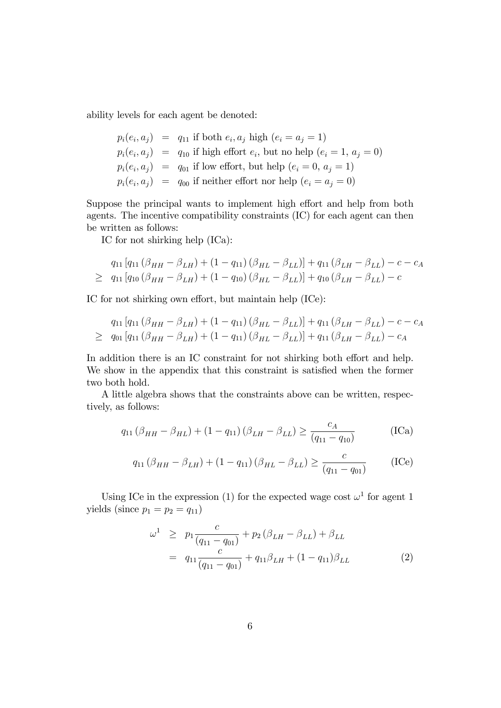ability levels for each agent be denoted:

$$
p_i(e_i, a_j) = q_{11} \text{ if both } e_i, a_j \text{ high } (e_i = a_j = 1)
$$
  
\n
$$
p_i(e_i, a_j) = q_{10} \text{ if high effort } e_i, \text{ but no help } (e_i = 1, a_j = 0)
$$
  
\n
$$
p_i(e_i, a_j) = q_{01} \text{ if low effort, but help } (e_i = 0, a_j = 1)
$$
  
\n
$$
p_i(e_i, a_j) = q_{00} \text{ if neither effort nor help } (e_i = a_j = 0)
$$

Suppose the principal wants to implement high effort and help from both agents. The incentive compatibility constraints (IC) for each agent can then be written as follows:

IC for not shirking help (ICa):

$$
q_{11}[q_{11}(\beta_{HH} - \beta_{LH}) + (1 - q_{11})(\beta_{HL} - \beta_{LL})] + q_{11}(\beta_{LH} - \beta_{LL}) - c - c_A
$$
  
\n
$$
\geq q_{11}[q_{10}(\beta_{HH} - \beta_{LH}) + (1 - q_{10})(\beta_{HL} - \beta_{LL})] + q_{10}(\beta_{LH} - \beta_{LL}) - c
$$

IC for not shirking own effort, but maintain help (ICe):

$$
q_{11}[q_{11}(\beta_{HH} - \beta_{LH}) + (1 - q_{11})(\beta_{HL} - \beta_{LL})] + q_{11}(\beta_{LH} - \beta_{LL}) - c - c_A
$$
  
\n
$$
\geq q_{01}[q_{11}(\beta_{HH} - \beta_{LH}) + (1 - q_{11})(\beta_{HL} - \beta_{LL})] + q_{11}(\beta_{LH} - \beta_{LL}) - c_A
$$

In addition there is an IC constraint for not shirking both effort and help. We show in the appendix that this constraint is satisfied when the former two both hold.

A little algebra shows that the constraints above can be written, respectively, as follows:

$$
q_{11} (\beta_{HH} - \beta_{HL}) + (1 - q_{11}) (\beta_{LH} - \beta_{LL}) \ge \frac{c_A}{(q_{11} - q_{10})}
$$
 (ICa)

$$
q_{11} (\beta_{HH} - \beta_{LH}) + (1 - q_{11}) (\beta_{HL} - \beta_{LL}) \ge \frac{c}{(q_{11} - q_{01})}
$$
 (ICe)

Using ICe in the expression (1) for the expected wage cost  $\omega^1$  for agent 1 yields (since  $p_1 = p_2 = q_{11}$ )

$$
\omega^{1} \ge p_{1} \frac{c}{(q_{11} - q_{01})} + p_{2} (\beta_{LH} - \beta_{LL}) + \beta_{LL}
$$
  
=  $q_{11} \frac{c}{(q_{11} - q_{01})} + q_{11} \beta_{LH} + (1 - q_{11}) \beta_{LL}$  (2)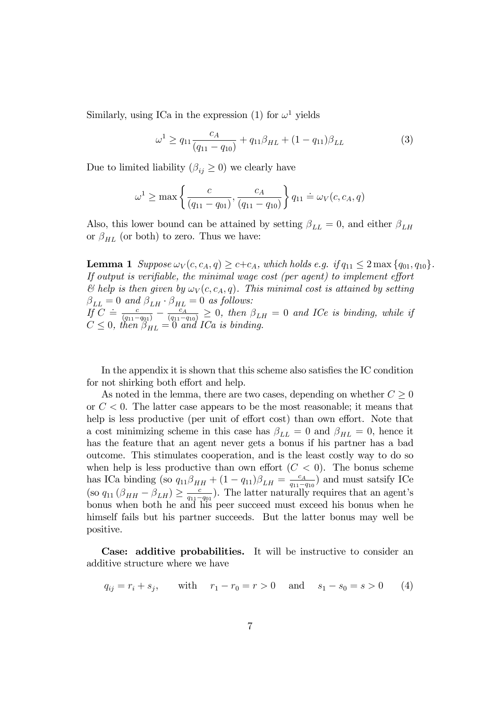Similarly, using ICa in the expression (1) for  $\omega^1$  yields

$$
\omega^1 \ge q_{11} \frac{c_A}{(q_{11} - q_{10})} + q_{11} \beta_{HL} + (1 - q_{11}) \beta_{LL} \tag{3}
$$

Due to limited liability  $(\beta_{ij} \geq 0)$  we clearly have

$$
\omega^1 \ge \max \left\{ \frac{c}{(q_{11} - q_{01})}, \frac{c_A}{(q_{11} - q_{10})} \right\} q_{11} \doteq \omega_V(c, c_A, q)
$$

Also, this lower bound can be attained by setting  $\beta_{LL} = 0$ , and either  $\beta_{LH}$ or  $\beta_{HL}$  (or both) to zero. Thus we have:

**Lemma 1** Suppose  $\omega_V(c, c_A, q) \geq c+c_A$ , which holds e.g. if  $q_{11} \leq 2 \max\{q_{01}, q_{10}\}.$ If output is verifiable, the minimal wage cost (per agent) to implement effort  $\mathscr$  belp is then given by  $\omega_V(c, c_A, q)$ . This minimal cost is attained by setting  $\beta_{LL} = 0$  and  $\beta_{LH} \cdot \beta_{HL} = 0$  as follows:  $\iint_C \frac{c}{(q_{11}-q_{01})} - \frac{c_A}{(q_{11}-q_{10})} \geq 0$ , then  $\beta_{LH} = 0$  and ICe is binding, while if  $C \leq 0$ , then  $\beta_{HL} = 0$  and ICa is binding.

In the appendix it is shown that this scheme also satisfies the IC condition for not shirking both effort and help.

As noted in the lemma, there are two cases, depending on whether  $C \geq 0$ or  $C < 0$ . The latter case appears to be the most reasonable; it means that help is less productive (per unit of effort cost) than own effort. Note that a cost minimizing scheme in this case has  $\beta_{LL} = 0$  and  $\beta_{HL} = 0$ , hence it has the feature that an agent never gets a bonus if his partner has a bad outcome. This stimulates cooperation, and is the least costly way to do so when help is less productive than own effort  $(C < 0)$ . The bonus scheme has ICa binding (so  $q_{11}\beta_{HH} + (1 - q_{11})\beta_{LH} = \frac{c_A}{q_{11} - q_{11}}$  $\frac{c_A}{q_{11}-q_{10}}$  and must satsify ICe  $\left(\text{so }q_{11}\left(\beta_{HH}-\beta_{LH}\right)\geq \frac{c}{q_{11}-1} \right)$  $\frac{c}{q_{11}-q_{01}}$ ). The latter naturally requires that an agent's bonus when both he and his peer succeed must exceed his bonus when he himself fails but his partner succeeds. But the latter bonus may well be positive.

Case: additive probabilities. It will be instructive to consider an additive structure where we have

$$
q_{ij} = r_i + s_j
$$
, with  $r_1 - r_0 = r > 0$  and  $s_1 - s_0 = s > 0$  (4)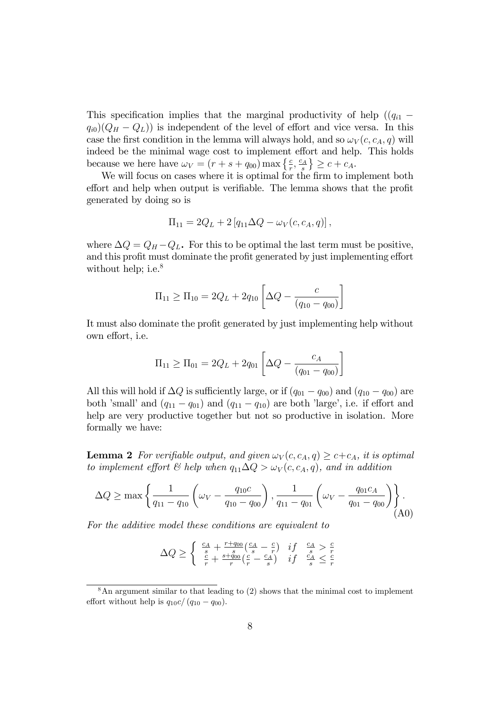This specification implies that the marginal productivity of help  $((q_{i1}$  $q_{i0}(Q_H - Q_L)$  is independent of the level of effort and vice versa. In this case the first condition in the lemma will always hold, and so  $\omega_V(c, c_A, q)$  will indeed be the minimal wage cost to implement effort and help. This holds because we here have  $\omega_V = (r + s + q_{00}) \max\left\{\frac{c}{r}, \frac{c_A}{s}\right\}$  $\left\{\frac{c_A}{s}\right\} \geq c + c_A.$ 

We will focus on cases where it is optimal for the firm to implement both effort and help when output is verifiable. The lemma shows that the profit generated by doing so is

$$
\Pi_{11} = 2Q_L + 2 [q_{11} \Delta Q - \omega_V(c, c_A, q)],
$$

where  $\Delta Q = Q_H - Q_L$ . For this to be optimal the last term must be positive, and this profit must dominate the profit generated by just implementing effort without help; i.e. $8$ 

$$
\Pi_{11} \ge \Pi_{10} = 2Q_L + 2q_{10} \left[ \Delta Q - \frac{c}{(q_{10} - q_{00})} \right]
$$

It must also dominate the profit generated by just implementing help without own effort, *i.e.* 

$$
\Pi_{11} \geq \Pi_{01} = 2Q_L + 2q_{01} \left[ \Delta Q - \frac{c_A}{(q_{01} - q_{00})} \right]
$$

All this will hold if  $\Delta Q$  is sufficiently large, or if  $(q_{01} - q_{00})$  and  $(q_{10} - q_{00})$  are both 'small' and  $(q_{11} - q_{01})$  and  $(q_{11} - q_{10})$  are both 'large', i.e. if effort and help are very productive together but not so productive in isolation. More formally we have:

**Lemma 2** For verifiable output, and given  $\omega_V(c, c_A, q) \geq c+c_A$ , it is optimal to implement effort  $\mathcal C$  help when  $q_{11}\Delta Q > \omega_V(c, c_A, q)$ , and in addition

$$
\Delta Q \ge \max \left\{ \frac{1}{q_{11} - q_{10}} \left( \omega_V - \frac{q_{10}c}{q_{10} - q_{00}} \right), \frac{1}{q_{11} - q_{01}} \left( \omega_V - \frac{q_{01}c_A}{q_{01} - q_{00}} \right) \right\}.
$$
\n(A0)

For the additive model these conditions are equivalent to

$$
\Delta Q \ge \begin{cases} \frac{c_A}{s} + \frac{r + q_{00}}{s} \left( \frac{c_A}{s} - \frac{c}{r} \right) & if \quad \frac{c_A}{s} > \frac{c}{r} \\ \frac{c}{r} + \frac{s + q_{00}}{r} \left( \frac{c}{r} - \frac{c_A}{s} \right) & if \quad \frac{c_A}{s} \le \frac{c}{r} \end{cases}
$$

 $8$ An argument similar to that leading to (2) shows that the minimal cost to implement effort without help is  $q_{10}c/(q_{10} - q_{00}).$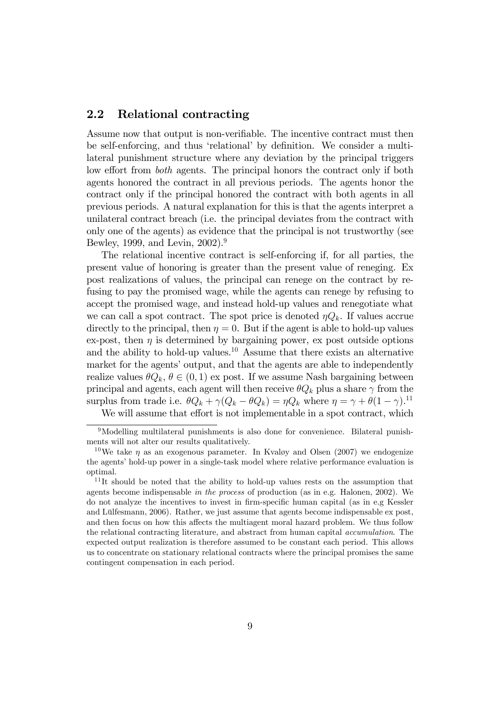### 2.2 Relational contracting

Assume now that output is non-verifiable. The incentive contract must then be self-enforcing, and thus 'relational' by definition. We consider a multilateral punishment structure where any deviation by the principal triggers low effort from *both* agents. The principal honors the contract only if both agents honored the contract in all previous periods. The agents honor the contract only if the principal honored the contract with both agents in all previous periods. A natural explanation for this is that the agents interpret a unilateral contract breach (i.e. the principal deviates from the contract with only one of the agents) as evidence that the principal is not trustworthy (see Bewley, 1999, and Levin, 2002).<sup>9</sup>

The relational incentive contract is self-enforcing if, for all parties, the present value of honoring is greater than the present value of reneging. Ex post realizations of values, the principal can renege on the contract by refusing to pay the promised wage, while the agents can renege by refusing to accept the promised wage, and instead hold-up values and renegotiate what we can call a spot contract. The spot price is denoted  $\eta Q_k$ . If values accrue directly to the principal, then  $\eta = 0$ . But if the agent is able to hold-up values ex-post, then  $\eta$  is determined by bargaining power, ex post outside options and the ability to hold-up values.<sup>10</sup> Assume that there exists an alternative market for the agents' output, and that the agents are able to independently realize values  $\theta Q_k$ ,  $\theta \in (0, 1)$  ex post. If we assume Nash bargaining between principal and agents, each agent will then receive  $\theta Q_k$  plus a share  $\gamma$  from the surplus from trade i.e.  $\theta Q_k + \gamma (Q_k - \theta Q_k) = \eta Q_k$  where  $\eta = \gamma + \theta (1 - \gamma)^{11}$ 

We will assume that effort is not implementable in a spot contract, which

<sup>&</sup>lt;sup>9</sup>Modelling multilateral punishments is also done for convenience. Bilateral punishments will not alter our results qualitatively.

<sup>&</sup>lt;sup>10</sup>We take  $\eta$  as an exogenous parameter. In Kvaløy and Olsen (2007) we endogenize the agents' hold-up power in a single-task model where relative performance evaluation is optimal.

<sup>&</sup>lt;sup>11</sup>It should be noted that the ability to hold-up values rests on the assumption that agents become indispensable in the process of production (as in e.g. Halonen, 2002). We do not analyze the incentives to invest in Örm-speciÖc human capital (as in e.g Kessler and Lülfesmann, 2006). Rather, we just assume that agents become indispensable ex post, and then focus on how this affects the multiagent moral hazard problem. We thus follow the relational contracting literature, and abstract from human capital accumulation. The expected output realization is therefore assumed to be constant each period. This allows us to concentrate on stationary relational contracts where the principal promises the same contingent compensation in each period.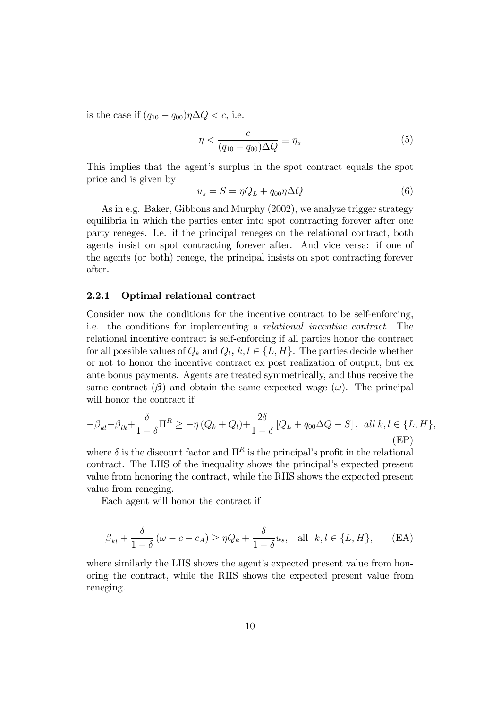is the case if  $(q_{10} - q_{00})\eta \Delta Q < c$ , i.e.

$$
\eta < \frac{c}{(q_{10} - q_{00})\Delta Q} \equiv \eta_s \tag{5}
$$

This implies that the agent's surplus in the spot contract equals the spot price and is given by

$$
u_s = S = \eta Q_L + q_{00}\eta \Delta Q \tag{6}
$$

As in e.g. Baker, Gibbons and Murphy (2002), we analyze trigger strategy equilibria in which the parties enter into spot contracting forever after one party reneges. I.e. if the principal reneges on the relational contract, both agents insist on spot contracting forever after. And vice versa: if one of the agents (or both) renege, the principal insists on spot contracting forever after.

#### 2.2.1 Optimal relational contract

Consider now the conditions for the incentive contract to be self-enforcing, i.e. the conditions for implementing a relational incentive contract. The relational incentive contract is self-enforcing if all parties honor the contract for all possible values of  $Q_k$  and  $Q_l, k, l \in \{L, H\}$ . The parties decide whether or not to honor the incentive contract ex post realization of output, but ex ante bonus payments. Agents are treated symmetrically, and thus receive the same contract  $(\beta)$  and obtain the same expected wage  $(\omega)$ . The principal will honor the contract if

$$
-\beta_{kl} - \beta_{lk} + \frac{\delta}{1-\delta} \Pi^R \ge -\eta \left(Q_k + Q_l\right) + \frac{2\delta}{1-\delta} \left[Q_L + q_{00}\Delta Q - S\right], \text{ all } k, l \in \{L, H\},\tag{EP}
$$

where  $\delta$  is the discount factor and  $\Pi^R$  is the principal's profit in the relational contract. The LHS of the inequality shows the principal's expected present value from honoring the contract, while the RHS shows the expected present value from reneging.

Each agent will honor the contract if

$$
\beta_{kl} + \frac{\delta}{1-\delta} \left( \omega - c - c_A \right) \ge \eta Q_k + \frac{\delta}{1-\delta} u_s, \quad \text{all} \ \ k, l \in \{L, H\}, \tag{EA}
$$

where similarly the LHS shows the agent's expected present value from honoring the contract, while the RHS shows the expected present value from reneging.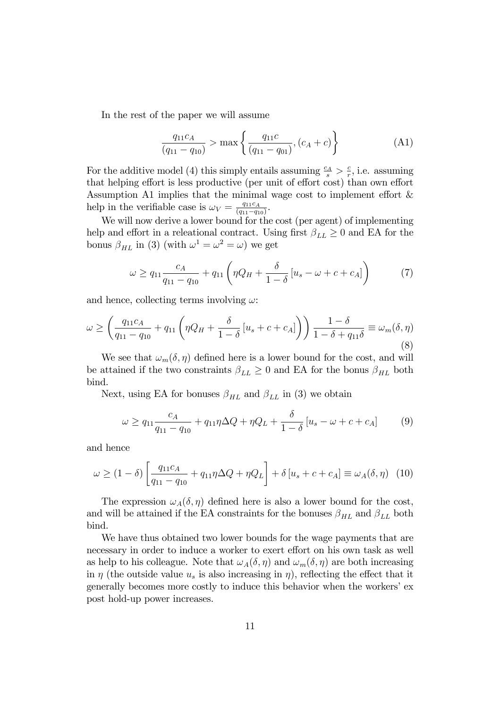In the rest of the paper we will assume

$$
\frac{q_{11}c_A}{(q_{11} - q_{10})} > \max\left\{\frac{q_{11}c}{(q_{11} - q_{01})}, (c_A + c)\right\}
$$
(A1)

For the additive model (4) this simply entails assuming  $\frac{c_A}{s} > \frac{c}{r}$  $\frac{c}{r}$ , i.e. assuming that helping effort is less productive (per unit of effort cost) than own effort Assumption A1 implies that the minimal wage cost to implement effort  $\&$ help in the verifiable case is  $\omega_V = \frac{q_{11}c_A}{(q_{11}-q_{12})}$  $\frac{q_{11}c_A}{(q_{11}-q_{10})}$ .

We will now derive a lower bound for the cost (per agent) of implementing help and effort in a releational contract. Using first  $\beta_{LL} \geq 0$  and EA for the bonus  $\beta_{HL}$  in (3) (with  $\omega^1 = \omega^2 = \omega$ ) we get

$$
\omega \ge q_{11} \frac{c_A}{q_{11} - q_{10}} + q_{11} \left( \eta Q_H + \frac{\delta}{1 - \delta} \left[ u_s - \omega + c + c_A \right] \right) \tag{7}
$$

and hence, collecting terms involving  $\omega$ :

$$
\omega \ge \left(\frac{q_{11}c_A}{q_{11}-q_{10}} + q_{11}\left(\eta Q_H + \frac{\delta}{1-\delta}\left[u_s + c + c_A\right]\right)\right) \frac{1-\delta}{1-\delta+q_{11}\delta} \equiv \omega_m(\delta, \eta)
$$
\n(8)

We see that  $\omega_m(\delta, \eta)$  defined here is a lower bound for the cost, and will be attained if the two constraints  $\beta_{LL} \geq 0$  and EA for the bonus  $\beta_{HL}$  both bind.

Next, using EA for bonuses  $\beta_{HL}$  and  $\beta_{LL}$  in (3) we obtain

$$
\omega \ge q_{11} \frac{c_A}{q_{11} - q_{10}} + q_{11} \eta \Delta Q + \eta Q_L + \frac{\delta}{1 - \delta} [u_s - \omega + c + c_A]
$$
(9)

and hence

$$
\omega \ge (1 - \delta) \left[ \frac{q_{11}c_A}{q_{11} - q_{10}} + q_{11}\eta \Delta Q + \eta Q_L \right] + \delta \left[ u_s + c + c_A \right] \equiv \omega_A(\delta, \eta) \tag{10}
$$

The expression  $\omega_A(\delta, \eta)$  defined here is also a lower bound for the cost, and will be attained if the EA constraints for the bonuses  $\beta_{HL}$  and  $\beta_{LL}$  both bind.

We have thus obtained two lower bounds for the wage payments that are necessary in order to induce a worker to exert effort on his own task as well as help to his colleague. Note that  $\omega_A(\delta, \eta)$  and  $\omega_m(\delta, \eta)$  are both increasing in  $\eta$  (the outside value  $u_s$  is also increasing in  $\eta$ ), reflecting the effect that it generally becomes more costly to induce this behavior when the workers' expost hold-up power increases.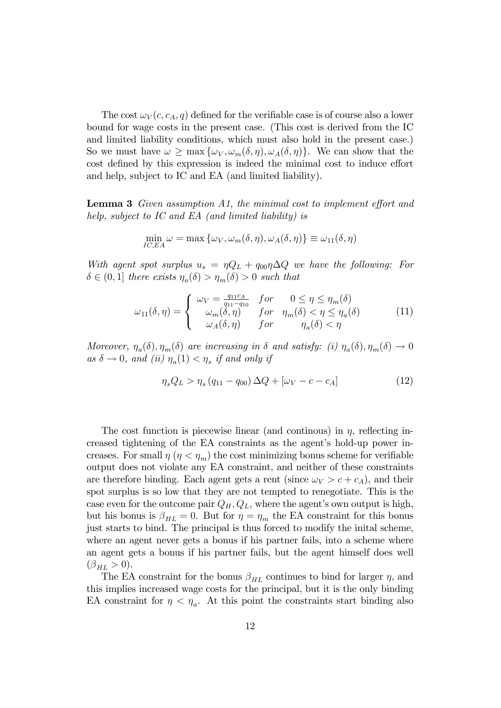The cost  $\omega_V(c, c_A, q)$  defined for the verifiable case is of course also a lower bound for wage costs in the present case. (This cost is derived from the IC and limited liability conditions, which must also hold in the present case.) So we must have  $\omega \ge \max{\{\omega_V, \omega_m(\delta, \eta), \omega_A(\delta, \eta)\}}$ . We can show that the cost defined by this expression is indeed the minimal cost to induce effort and help, subject to IC and EA (and limited liability).

**Lemma 3** Given assumption A1, the minimal cost to implement effort and help, subject to IC and EA (and limited liability) is

$$
\min_{IC,EA} \omega = \max \{ \omega_V, \omega_m(\delta, \eta), \omega_A(\delta, \eta) \} \equiv \omega_{11}(\delta, \eta)
$$

With agent spot surplus  $u_s = \eta Q_L + q_{00} \eta \Delta Q$  we have the following: For  $\delta \in (0,1]$  there exists  $\eta_a(\delta) > \eta_m(\delta) > 0$  such that

$$
\omega_{11}(\delta,\eta) = \begin{cases}\n\omega_V = \frac{q_{11}c_A}{q_{11} - q_{10}} & \text{for} \quad 0 \le \eta \le \eta_m(\delta) \\
\omega_m(\delta,\eta) & \text{for} \quad \eta_m(\delta) < \eta \le \eta_a(\delta) \\
\omega_A(\delta,\eta) & \text{for} \quad \eta_a(\delta) < \eta\n\end{cases} \tag{11}
$$

Moreover,  $\eta_a(\delta)$ ,  $\eta_m(\delta)$  are increasing in  $\delta$  and satisfy: (i)  $\eta_a(\delta)$ ,  $\eta_m(\delta) \to 0$ as  $\delta \to 0$ , and (ii)  $\eta_a(1) < \eta_s$  if and only if

$$
\eta_s Q_L > \eta_s (q_{11} - q_{00}) \Delta Q + [\omega_V - c - c_A]
$$
\n(12)

The cost function is piecewise linear (and continuous) in  $\eta$ , reflecting increased tightening of the EA constraints as the agent's hold-up power increases. For small  $\eta$  ( $\eta < \eta_m$ ) the cost minimizing bonus scheme for verifiable output does not violate any EA constraint, and neither of these constraints are therefore binding. Each agent gets a rent (since  $\omega_V > c + c_A$ ), and their spot surplus is so low that they are not tempted to renegotiate. This is the case even for the outcome pair  $Q_H, Q_L$ , where the agent's own output is high, but his bonus is  $\beta_{HL} = 0$ . But for  $\eta = \eta_m$  the EA constraint for this bonus just starts to bind. The principal is thus forced to modify the inital scheme, where an agent never gets a bonus if his partner fails, into a scheme where an agent gets a bonus if his partner fails, but the agent himself does well  $(\beta_{HL} > 0).$ 

The EA constraint for the bonus  $\beta_{HL}$  continues to bind for larger  $\eta$ , and this implies increased wage costs for the principal, but it is the only binding EA constraint for  $\eta < \eta_a$ . At this point the constraints start binding also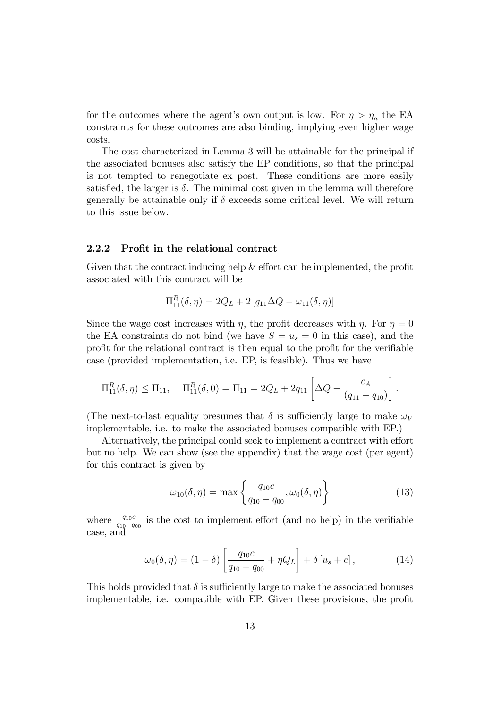for the outcomes where the agent's own output is low. For  $\eta > \eta_a$  the EA constraints for these outcomes are also binding, implying even higher wage costs.

The cost characterized in Lemma 3 will be attainable for the principal if the associated bonuses also satisfy the EP conditions, so that the principal is not tempted to renegotiate ex post. These conditions are more easily satisfied, the larger is  $\delta$ . The minimal cost given in the lemma will therefore generally be attainable only if  $\delta$  exceeds some critical level. We will return to this issue below.

### 2.2.2 Profit in the relational contract

Given that the contract inducing help  $&\&$  effort can be implemented, the profit associated with this contract will be

$$
\Pi_{11}^{R}(\delta, \eta) = 2Q_L + 2 [q_{11} \Delta Q - \omega_{11}(\delta, \eta)]
$$

Since the wage cost increases with  $\eta$ , the profit decreases with  $\eta$ . For  $\eta = 0$ the EA constraints do not bind (we have  $S = u_s = 0$  in this case), and the profit for the relational contract is then equal to the profit for the verifiable case (provided implementation, i.e. EP, is feasible). Thus we have

$$
\Pi_{11}^{R}(\delta,\eta) \leq \Pi_{11}, \quad \Pi_{11}^{R}(\delta,0) = \Pi_{11} = 2Q_{L} + 2q_{11} \left[ \Delta Q - \frac{c_{A}}{(q_{11} - q_{10})} \right].
$$

(The next-to-last equality presumes that  $\delta$  is sufficiently large to make  $\omega_V$ implementable, i.e. to make the associated bonuses compatible with EP.)

Alternatively, the principal could seek to implement a contract with effort but no help. We can show (see the appendix) that the wage cost (per agent) for this contract is given by

$$
\omega_{10}(\delta, \eta) = \max \left\{ \frac{q_{10}c}{q_{10} - q_{00}}, \omega_0(\delta, \eta) \right\} \tag{13}
$$

where  $\frac{q_{10}c}{q_{10}-q_{00}}$  is the cost to implement effort (and no help) in the verifiable case, and

$$
\omega_0(\delta, \eta) = (1 - \delta) \left[ \frac{q_{10}c}{q_{10} - q_{00}} + \eta Q_L \right] + \delta [u_s + c], \tag{14}
$$

This holds provided that  $\delta$  is sufficiently large to make the associated bonuses implementable, i.e. compatible with EP. Given these provisions, the profit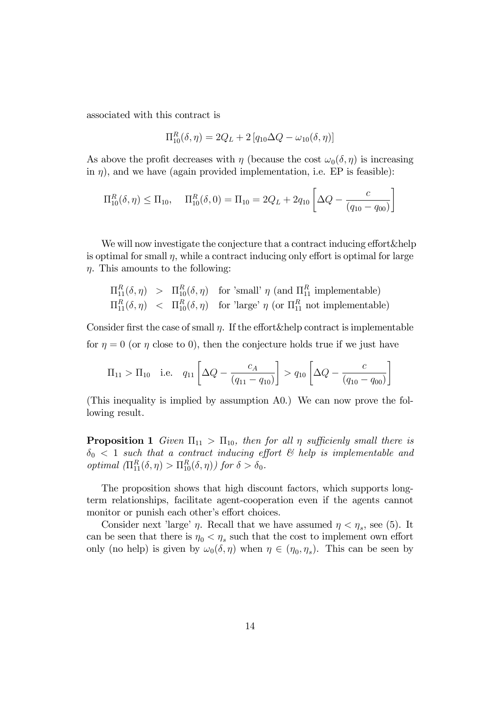associated with this contract is

$$
\Pi_{10}^{R}(\delta, \eta) = 2Q_L + 2 [q_{10}\Delta Q - \omega_{10}(\delta, \eta)]
$$

As above the profit decreases with  $\eta$  (because the cost  $\omega_0(\delta, \eta)$  is increasing in  $\eta$ ), and we have (again provided implementation, i.e. EP is feasible):

$$
\Pi_{10}^{R}(\delta,\eta) \leq \Pi_{10}, \quad \Pi_{10}^{R}(\delta,0) = \Pi_{10} = 2Q_{L} + 2q_{10} \left[ \Delta Q - \frac{c}{(q_{10} - q_{00})} \right]
$$

We will now investigate the conjecture that a contract inducing effort&help is optimal for small  $\eta$ , while a contract inducing only effort is optimal for large  $\eta$ . This amounts to the following:

$$
\Pi_{11}^R(\delta, \eta) > \Pi_{10}^R(\delta, \eta) \quad \text{for 'small' } \eta \text{ (and } \Pi_{11}^R \text{ implementable)}
$$
\n
$$
\Pi_{11}^R(\delta, \eta) < \Pi_{10}^R(\delta, \eta) \quad \text{for 'large' } \eta \text{ (or } \Pi_{11}^R \text{ not implementable)}
$$

Consider first the case of small  $n$ . If the effort&help contract is implementable for  $\eta = 0$  (or  $\eta$  close to 0), then the conjecture holds true if we just have

$$
\Pi_{11} > \Pi_{10}
$$
 i.e.  $q_{11} \left[ \Delta Q - \frac{c_A}{(q_{11} - q_{10})} \right] > q_{10} \left[ \Delta Q - \frac{c}{(q_{10} - q_{00})} \right]$ 

(This inequality is implied by assumption A0.) We can now prove the following result.

**Proposition 1** Given  $\Pi_{11} > \Pi_{10}$ , then for all  $\eta$  sufficienly small there is  $\delta_0$  < 1 such that a contract inducing effort  $\mathcal C$  help is implementable and optimal  $(\Pi_{11}^R(\delta, \eta) > \Pi_{10}^R(\delta, \eta))$  for  $\delta > \delta_0$ .

The proposition shows that high discount factors, which supports longterm relationships, facilitate agent-cooperation even if the agents cannot monitor or punish each other's effort choices.

Consider next 'large'  $\eta$ . Recall that we have assumed  $\eta < \eta_s$ , see (5). It can be seen that there is  $\eta_0 < \eta_s$  such that the cost to implement own effort only (no help) is given by  $\omega_0(\delta, \eta)$  when  $\eta \in (\eta_0, \eta_s)$ . This can be seen by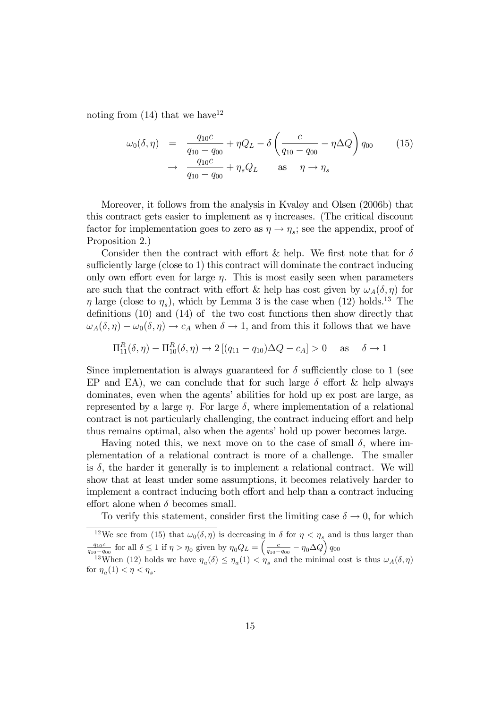noting from  $(14)$  that we have<sup>12</sup>

$$
\omega_0(\delta, \eta) = \frac{q_{10}c}{q_{10} - q_{00}} + \eta Q_L - \delta \left( \frac{c}{q_{10} - q_{00}} - \eta \Delta Q \right) q_{00}
$$
 (15)  

$$
\rightarrow \frac{q_{10}c}{q_{10} - q_{00}} + \eta_s Q_L \quad \text{as} \quad \eta \rightarrow \eta_s
$$

Moreover, it follows from the analysis in Kvaløy and Olsen (2006b) that this contract gets easier to implement as  $\eta$  increases. (The critical discount factor for implementation goes to zero as  $\eta \to \eta_s$ ; see the appendix, proof of Proposition 2.)

Consider then the contract with effort & help. We first note that for  $\delta$ sufficiently large (close to 1) this contract will dominate the contract inducing only own effort even for large  $\eta$ . This is most easily seen when parameters are such that the contract with effort & help has cost given by  $\omega_A(\delta, \eta)$  for  $\eta$  large (close to  $\eta_s$ ), which by Lemma 3 is the case when (12) holds.<sup>13</sup> The definitions  $(10)$  and  $(14)$  of the two cost functions then show directly that  $\omega_A(\delta, \eta) - \omega_0(\delta, \eta) \to c_A$  when  $\delta \to 1$ , and from this it follows that we have

$$
\Pi_{11}^{R}(\delta, \eta) - \Pi_{10}^{R}(\delta, \eta) \to 2[(q_{11} - q_{10})\Delta Q - c_{A}] > 0 \quad \text{as} \quad \delta \to 1
$$

Since implementation is always guaranteed for  $\delta$  sufficiently close to 1 (see EP and EA), we can conclude that for such large  $\delta$  effort  $\&$  help always dominates, even when the agents' abilities for hold up ex post are large, as represented by a large  $\eta$ . For large  $\delta$ , where implementation of a relational contract is not particularly challenging, the contract inducing effort and help thus remains optimal, also when the agents' hold up power becomes large.

Having noted this, we next move on to the case of small  $\delta$ , where implementation of a relational contract is more of a challenge. The smaller is  $\delta$ , the harder it generally is to implement a relational contract. We will show that at least under some assumptions, it becomes relatively harder to implement a contract inducing both effort and help than a contract inducing effort alone when  $\delta$  becomes small.

To verify this statement, consider first the limiting case  $\delta \to 0$ , for which

<sup>&</sup>lt;sup>12</sup>We see from (15) that  $\omega_0(\delta, \eta)$  is decreasing in  $\delta$  for  $\eta < \eta_s$  and is thus larger than  $\frac{q_{10}c}{q_{10}-q_{00}}$  for all  $\delta \leq 1$  if  $\eta > \eta_0$  given by  $\eta_0 Q_L = \left(\frac{c}{q_{10}-q_{00}} - \eta_0 \Delta Q\right) q_{00}$ 

<sup>&</sup>lt;sup>13</sup>When (12) holds we have  $\eta_a(\delta) \leq \eta_a(1) < \eta_s$  and the minimal cost is thus  $\omega_A(\delta, \eta)$ for  $\eta_a(1) < \eta < \eta_s$ .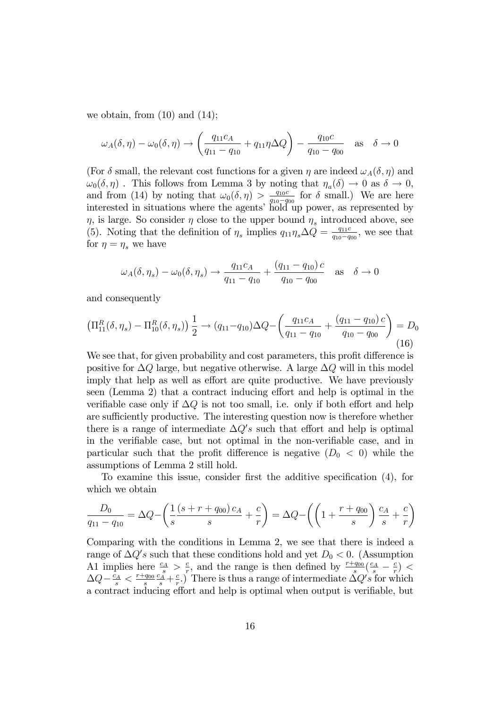we obtain, from  $(10)$  and  $(14)$ ;

$$
\omega_A(\delta, \eta) - \omega_0(\delta, \eta) \to \left(\frac{q_{11}c_A}{q_{11} - q_{10}} + q_{11}\eta \Delta Q\right) - \frac{q_{10}c}{q_{10} - q_{00}} \text{ as } \delta \to 0
$$

(For  $\delta$  small, the relevant cost functions for a given  $\eta$  are indeed  $\omega_A(\delta, \eta)$  and  $\omega_0(\delta, \eta)$ . This follows from Lemma 3 by noting that  $\eta_a(\delta) \to 0$  as  $\delta \to 0$ , and from (14) by noting that  $\omega_0(\delta, \eta) > \frac{q_{10}c}{q_{10}-q}$  $\frac{q_{10}c}{q_{10}-q_{00}}$  for  $\delta$  small.) We are here interested in situations where the agents' hold up power, as represented by  $\eta$ , is large. So consider  $\eta$  close to the upper bound  $\eta_s$  introduced above, see (5). Noting that the definition of  $\eta_s$  implies  $q_{11}\eta_s\Delta Q = \frac{q_{11}c}{q_{10}-q_s}$  $\frac{q_{11}c}{q_{10}-q_{00}},$  we see that for  $\eta = \eta_s$  we have

$$
\omega_A(\delta, \eta_s) - \omega_0(\delta, \eta_s) \to \frac{q_{11}c_A}{q_{11} - q_{10}} + \frac{(q_{11} - q_{10})c}{q_{10} - q_{00}}
$$
 as  $\delta \to 0$ 

and consequently

$$
\left(\Pi_{11}^{R}(\delta,\eta_{s}) - \Pi_{10}^{R}(\delta,\eta_{s})\right) \frac{1}{2} \to (q_{11} - q_{10})\Delta Q - \left(\frac{q_{11}c_{A}}{q_{11} - q_{10}} + \frac{(q_{11} - q_{10})c}{q_{10} - q_{00}}\right) = D_{0}
$$
\n(16)

We see that, for given probability and cost parameters, this profit difference is positive for  $\Delta Q$  large, but negative otherwise. A large  $\Delta Q$  will in this model imply that help as well as effort are quite productive. We have previously seen (Lemma 2) that a contract inducing effort and help is optimal in the verifiable case only if  $\Delta Q$  is not too small, i.e. only if both effort and help are sufficiently productive. The interesting question now is therefore whether there is a range of intermediate  $\Delta Q's$  such that effort and help is optimal in the verifiable case, but not optimal in the non-verifiable case, and in particular such that the profit difference is negative  $(D_0 < 0)$  while the assumptions of Lemma 2 still hold.

To examine this issue, consider first the additive specification  $(4)$ , for which we obtain

$$
\frac{D_0}{q_{11} - q_{10}} = \Delta Q - \left(\frac{1}{s} \frac{(s + r + q_{00}) c_A}{s} + \frac{c}{r}\right) = \Delta Q - \left(\left(1 + \frac{r + q_{00}}{s}\right) \frac{c_A}{s} + \frac{c}{r}\right)
$$

Comparing with the conditions in Lemma 2, we see that there is indeed a range of  $\Delta Q's$  such that these conditions hold and yet  $D_0 < 0$ . (Assumption A1 implies here  $\frac{c_A}{s} > \frac{c}{r}$  $\frac{c}{r}$ , and the range is then defined by  $\frac{r+q_{00}}{s}(\frac{c_A}{s}-\frac{c_B}{r})$  $\frac{c}{r}) <$  $\Delta Q - \frac{c_A}{s} < \frac{r+q_{00}}{s}$ s  $\frac{c_A}{s} + \frac{c}{r}$  $\frac{c}{r}$ .) There is thus a range of intermediate  $\Delta Q's$  for which a contract inducing effort and help is optimal when output is verifiable, but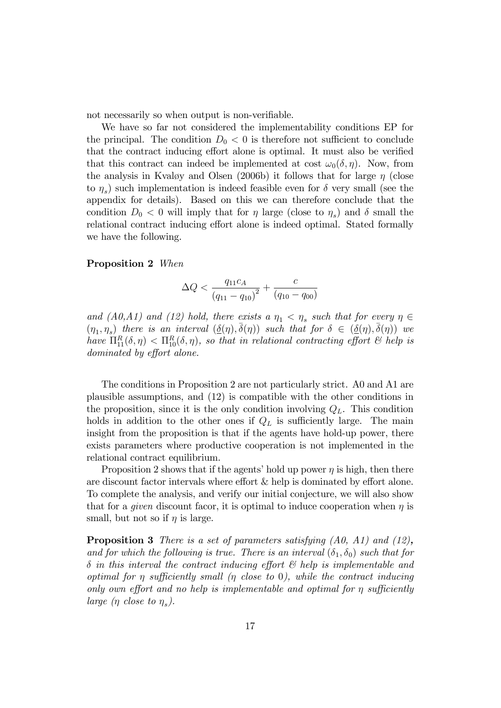not necessarily so when output is non-verifiable.

We have so far not considered the implementability conditions EP for the principal. The condition  $D_0 < 0$  is therefore not sufficient to conclude that the contract inducing effort alone is optimal. It must also be verified that this contract can indeed be implemented at cost  $\omega_0(\delta, \eta)$ . Now, from the analysis in Kvaløy and Olsen (2006b) it follows that for large  $\eta$  (close to  $\eta_s$ ) such implementation is indeed feasible even for  $\delta$  very small (see the appendix for details). Based on this we can therefore conclude that the condition  $D_0 < 0$  will imply that for  $\eta$  large (close to  $\eta_s$ ) and  $\delta$  small the relational contract inducing effort alone is indeed optimal. Stated formally we have the following.

#### Proposition 2 When

$$
\Delta Q < \frac{q_{11}c_A}{(q_{11} - q_{10})^2} + \frac{c}{(q_{10} - q_{00})}
$$

and  $(A0, A1)$  and  $(12)$  hold, there exists a  $\eta_1 < \eta_s$  such that for every  $\eta \in$  $(\eta_1, \eta_s)$  there is an interval  $(\underline{\delta}(\eta), \overline{\delta}(\eta))$  such that for  $\delta \in (\underline{\delta}(\eta), \overline{\delta}(\eta))$  we have  $\Pi_{11}^R(\delta,\eta) < \Pi_{10}^R(\delta,\eta)$ , so that in relational contracting effort  $\mathcal C$  help is dominated by effort alone.

The conditions in Proposition 2 are not particularly strict. A0 and A1 are plausible assumptions, and (12) is compatible with the other conditions in the proposition, since it is the only condition involving  $Q_L$ . This condition holds in addition to the other ones if  $Q_L$  is sufficiently large. The main insight from the proposition is that if the agents have hold-up power, there exists parameters where productive cooperation is not implemented in the relational contract equilibrium.

Proposition 2 shows that if the agents' hold up power  $\eta$  is high, then there are discount factor intervals where effort  $&$  help is dominated by effort alone. To complete the analysis, and verify our initial conjecture, we will also show that for a *given* discount facor, it is optimal to induce cooperation when  $\eta$  is small, but not so if  $\eta$  is large.

Proposition 3 There is a set of parameters satisfying (A0, A1) and (12), and for which the following is true. There is an interval  $(\delta_1, \delta_0)$  such that for  $\delta$  in this interval the contract inducing effort  $\mathcal{C}'$  help is implementable and optimal for  $\eta$  sufficiently small ( $\eta$  close to 0), while the contract inducing only own effort and no help is implementable and optimal for  $\eta$  sufficiently large ( $\eta$  close to  $\eta_s$ ).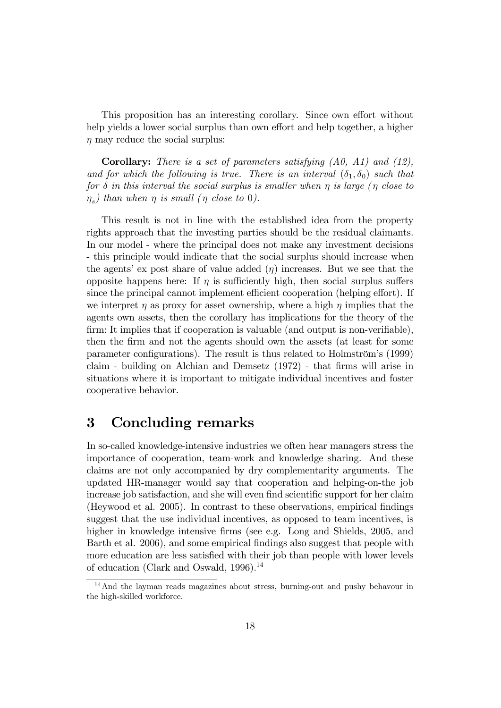This proposition has an interesting corollary. Since own effort without help yields a lower social surplus than own effort and help together, a higher  $\eta$  may reduce the social surplus:

**Corollary:** There is a set of parameters satisfying  $(A0, A1)$  and  $(12)$ , and for which the following is true. There is an interval  $(\delta_1, \delta_0)$  such that for  $\delta$  in this interval the social surplus is smaller when  $\eta$  is large ( $\eta$  close to  $\eta_s)$  than when  $\eta$  is small ( $\eta$  close to 0).

This result is not in line with the established idea from the property rights approach that the investing parties should be the residual claimants. In our model - where the principal does not make any investment decisions - this principle would indicate that the social surplus should increase when the agents' ex post share of value added  $(\eta)$  increases. But we see that the opposite happens here: If  $\eta$  is sufficiently high, then social surplus suffers since the principal cannot implement efficient cooperation (helping effort). If we interpret  $\eta$  as proxy for asset ownership, where a high  $\eta$  implies that the agents own assets, then the corollary has implications for the theory of the firm: It implies that if cooperation is valuable (and output is non-verifiable), then the firm and not the agents should own the assets (at least for some parameter configurations). The result is thus related to Holmström's (1999) claim - building on Alchian and Demsetz  $(1972)$  - that firms will arise in situations where it is important to mitigate individual incentives and foster cooperative behavior.

## 3 Concluding remarks

In so-called knowledge-intensive industries we often hear managers stress the importance of cooperation, team-work and knowledge sharing. And these claims are not only accompanied by dry complementarity arguments. The updated HR-manager would say that cooperation and helping-on-the job increase job satisfaction, and she will even find scientific support for her claim (Heywood et al. 2005). In contrast to these observations, empirical Öndings suggest that the use individual incentives, as opposed to team incentives, is higher in knowledge intensive firms (see e.g. Long and Shields, 2005, and Barth et al. 2006), and some empirical findings also suggest that people with more education are less satisfied with their job than people with lower levels of education (Clark and Oswald, 1996).<sup>14</sup>

<sup>14</sup>And the layman reads magazines about stress, burning-out and pushy behavour in the high-skilled workforce.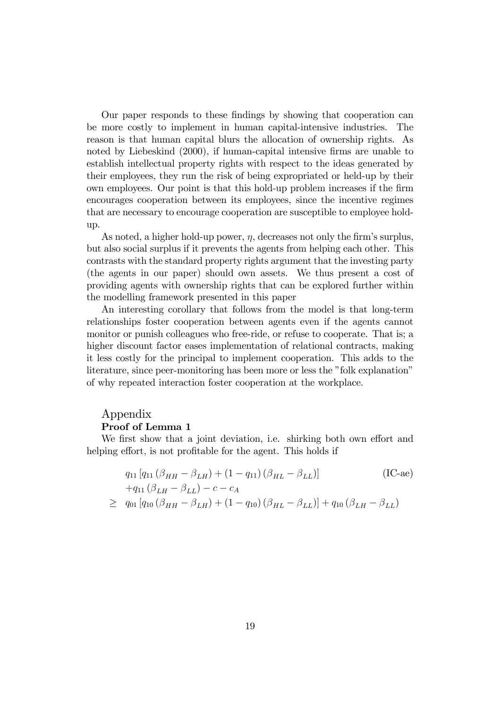Our paper responds to these Öndings by showing that cooperation can be more costly to implement in human capital-intensive industries. The reason is that human capital blurs the allocation of ownership rights. As noted by Liebeskind (2000), if human-capital intensive firms are unable to establish intellectual property rights with respect to the ideas generated by their employees, they run the risk of being expropriated or held-up by their own employees. Our point is that this hold-up problem increases if the firm encourages cooperation between its employees, since the incentive regimes that are necessary to encourage cooperation are susceptible to employee holdup.

As noted, a higher hold-up power,  $\eta$ , decreases not only the firm's surplus, but also social surplus if it prevents the agents from helping each other. This contrasts with the standard property rights argument that the investing party (the agents in our paper) should own assets. We thus present a cost of providing agents with ownership rights that can be explored further within the modelling framework presented in this paper

An interesting corollary that follows from the model is that long-term relationships foster cooperation between agents even if the agents cannot monitor or punish colleagues who free-ride, or refuse to cooperate. That is; a higher discount factor eases implementation of relational contracts, making it less costly for the principal to implement cooperation. This adds to the literature, since peer-monitoring has been more or less the "folk explanation" of why repeated interaction foster cooperation at the workplace.

### Appendix Proof of Lemma 1

We first show that a joint deviation, i.e. shirking both own effort and helping effort, is not profitable for the agent. This holds if

$$
q_{11} [q_{11} (\beta_{HH} - \beta_{LH}) + (1 - q_{11}) (\beta_{HL} - \beta_{LL})]
$$
(IC-ae)  
+
$$
q_{11} (\beta_{LH} - \beta_{LL}) - c - c_A
$$
  

$$
\geq q_{01} [q_{10} (\beta_{HH} - \beta_{LH}) + (1 - q_{10}) (\beta_{HL} - \beta_{LL})] + q_{10} (\beta_{LH} - \beta_{LL})
$$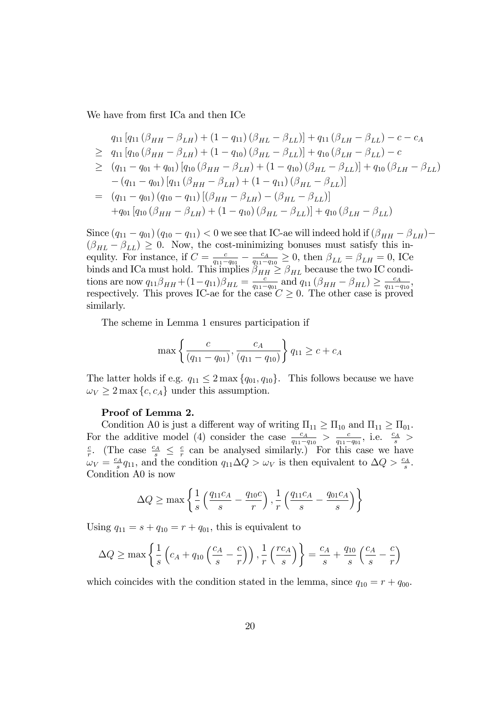We have from first ICa and then ICe

$$
q_{11} [q_{11} (\beta_{HH} - \beta_{LH}) + (1 - q_{11}) (\beta_{HL} - \beta_{LL})] + q_{11} (\beta_{LH} - \beta_{LL}) - c - c_A
$$
  
\n
$$
\geq q_{11} [q_{10} (\beta_{HH} - \beta_{LH}) + (1 - q_{10}) (\beta_{HL} - \beta_{LL})] + q_{10} (\beta_{LH} - \beta_{LL}) - c
$$
  
\n
$$
\geq (q_{11} - q_{01} + q_{01}) [q_{10} (\beta_{HH} - \beta_{LH}) + (1 - q_{10}) (\beta_{HL} - \beta_{LL})] + q_{10} (\beta_{LH} - \beta_{LL})
$$
  
\n
$$
- (q_{11} - q_{01}) [q_{11} (\beta_{HH} - \beta_{LH}) + (1 - q_{11}) (\beta_{HL} - \beta_{LL})]
$$
  
\n
$$
= (q_{11} - q_{01}) (q_{10} - q_{11}) [(\beta_{HH} - \beta_{LH}) - (\beta_{HL} - \beta_{LL})]
$$
  
\n
$$
+ q_{01} [q_{10} (\beta_{HH} - \beta_{LH}) + (1 - q_{10}) (\beta_{HL} - \beta_{LL})] + q_{10} (\beta_{LH} - \beta_{LL})
$$

Since  $(q_{11} - q_{01}) (q_{10} - q_{11}) < 0$  we see that IC-ae will indeed hold if  $(\beta_{HH} - \beta_{LH})$  $(\beta_{HL} - \beta_{LL}) \geq 0$ . Now, the cost-minimizing bonuses must satisfy this inequlity. For instance, if  $C = \frac{c}{a_1 - a_2}$  $rac{c}{q_{11}-q_{01}} - \frac{c_A}{q_{11}-q_{11}}$  $\frac{c_A}{q_{11}-q_{10}} \geq 0$ , then  $\beta_{LL} = \beta_{LH} = 0$ , ICe binds and ICa must hold. This implies  $\beta_{HH} \geq \beta_{HL}$  because the two IC conditions are now  $q_{11}\beta_{HH} + (1 - q_{11})\beta_{HL} = \frac{c}{q_{11}-q_{11}}$  $\frac{c}{q_{11}-q_{01}}$  and  $q_{11} (\beta_{HH} - \beta_{HL}) \ge \frac{c_A}{q_{11}-a}$  $\frac{c_A}{q_{11}-q_{10}}$ respectively. This proves IC-ae for the case  $C \geq 0$ . The other case is proved similarly.

The scheme in Lemma 1 ensures participation if

$$
\max\left\{\frac{c}{(q_{11} - q_{01})}, \frac{c_A}{(q_{11} - q_{10})}\right\} q_{11} \ge c + c_A
$$

The latter holds if e.g.  $q_{11} \leq 2 \max\{q_{01}, q_{10}\}.$  This follows because we have  $\omega_V \geq 2 \max \{c, c_A\}$  under this assumption.

### Proof of Lemma 2.

Condition A0 is just a different way of writing  $\Pi_{11} \geq \Pi_{10}$  and  $\Pi_{11} \geq \Pi_{01}$ . For the additive model (4) consider the case  $\frac{c_A}{q_{11}-q_{10}} > \frac{c_A}{q_{11}-q_{10}}$ For the additive model (4) consider the case  $\frac{c_A}{q_{11}-q_{10}} > \frac{c}{q_{11}-q_{01}}$ , i.e.  $\frac{c_A}{s} >$ <br> $\frac{c}{q_{11}-q_{01}}$ , i.e.  $\frac{c_A}{s} >$  $\frac{c}{r}$ . (The case  $\frac{c_A}{s} \leq \frac{c}{r}$  $\frac{c}{r}$  can be analysed similarly.) For this case we have  $\omega_V=\frac{c_A}{s}$  $\frac{\partial^2 A}{\partial s} q_{11}$ , and the condition  $q_{11} \Delta Q > \omega_V$  is then equivalent to  $\Delta Q > \frac{c_A}{s}$ . Condition A0 is now

$$
\Delta Q \ge \max \left\{ \frac{1}{s} \left( \frac{q_{11}c_A}{s} - \frac{q_{10}c}{r} \right), \frac{1}{r} \left( \frac{q_{11}c_A}{s} - \frac{q_{01}c_A}{s} \right) \right\}
$$

Using  $q_{11} = s + q_{10} = r + q_{01}$ , this is equivalent to

$$
\Delta Q \ge \max \left\{ \frac{1}{s} \left( c_A + q_{10} \left( \frac{c_A}{s} - \frac{c}{r} \right) \right), \frac{1}{r} \left( \frac{rc_A}{s} \right) \right\} = \frac{c_A}{s} + \frac{q_{10}}{s} \left( \frac{c_A}{s} - \frac{c}{r} \right)
$$

which coincides with the condition stated in the lemma, since  $q_{10} = r + q_{00}$ .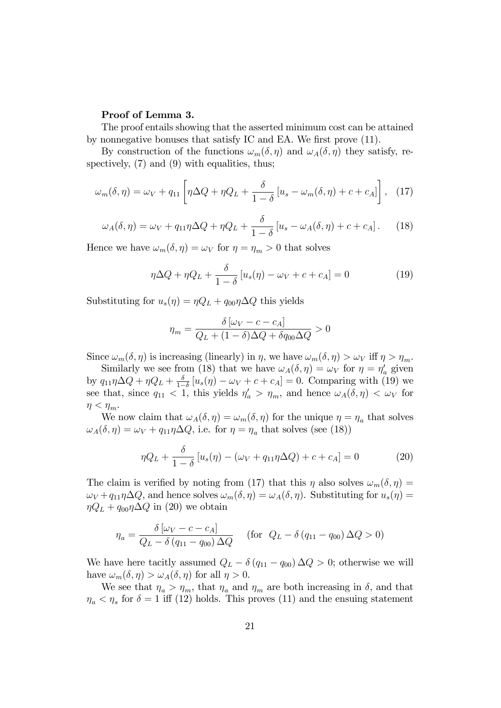### Proof of Lemma 3.

The proof entails showing that the asserted minimum cost can be attained by nonnegative bonuses that satisfy IC and EA. We first prove (11).

By construction of the functions  $\omega_m(\delta, \eta)$  and  $\omega_A(\delta, \eta)$  they satisfy, respectively,  $(7)$  and  $(9)$  with equalities, thus;

$$
\omega_m(\delta, \eta) = \omega_V + q_{11} \left[ \eta \Delta Q + \eta Q_L + \frac{\delta}{1 - \delta} \left[ u_s - \omega_m(\delta, \eta) + c + c_A \right] \right], \quad (17)
$$

$$
\omega_A(\delta, \eta) = \omega_V + q_{11}\eta \Delta Q + \eta Q_L + \frac{\delta}{1 - \delta} \left[ u_s - \omega_A(\delta, \eta) + c + c_A \right]. \tag{18}
$$

Hence we have  $\omega_m(\delta, \eta) = \omega_V$  for  $\eta = \eta_m > 0$  that solves

$$
\eta \Delta Q + \eta Q_L + \frac{\delta}{1 - \delta} \left[ u_s(\eta) - \omega_V + c + c_A \right] = 0 \tag{19}
$$

Substituting for  $u_s(\eta) = \eta Q_L + q_{00} \eta \Delta Q$  this yields

$$
\eta_m = \frac{\delta \left[ \omega_V - c - c_A \right]}{Q_L + (1 - \delta) \Delta Q + \delta q_{00} \Delta Q} > 0
$$

Since  $\omega_m(\delta, \eta)$  is increasing (linearly) in  $\eta$ , we have  $\omega_m(\delta, \eta) > \omega_V$  iff  $\eta > \eta_m$ .

Similarly we see from (18) that we have  $\omega_A(\delta, \eta) = \omega_V$  for  $\eta = \eta_a$  given by  $q_{11}\eta\Delta Q + \eta Q_L + \frac{\delta}{1-\eta}$  $\frac{\partial}{\partial s}[u_s(\eta) - \omega_V + c + c_A] = 0.$  Comparing with (19) we see that, since  $q_{11} < 1$ , this yields  $\eta_a' > \eta_m$ , and hence  $\omega_A(\delta, \eta) < \omega_V$  for  $\eta < \eta_m$ .

We now claim that  $\omega_A(\delta, \eta) = \omega_m(\delta, \eta)$  for the unique  $\eta = \eta_a$  that solves  $\omega_A(\delta, \eta) = \omega_V + q_{11}\eta \Delta Q$ , i.e. for  $\eta = \eta_a$  that solves (see (18))

$$
\eta Q_L + \frac{\delta}{1 - \delta} \left[ u_s(\eta) - (\omega_V + q_{11}\eta \Delta Q) + c + c_A \right] = 0 \tag{20}
$$

The claim is verified by noting from (17) that this  $\eta$  also solves  $\omega_m(\delta, \eta) =$  $\omega_V + q_{11}\eta \Delta Q$ , and hence solves  $\omega_m(\delta, \eta) = \omega_A(\delta, \eta)$ . Substituting for  $u_s(\eta) =$  $\eta Q_L + q_{00}\eta \Delta Q$  in (20) we obtain

$$
\eta_a = \frac{\delta \left[ \omega_V - c - c_A \right]}{Q_L - \delta \left( q_{11} - q_{00} \right) \Delta Q} \quad \text{(for } Q_L - \delta \left( q_{11} - q_{00} \right) \Delta Q > 0\text{)}
$$

We have here tacitly assumed  $Q_L - \delta (q_{11} - q_{00}) \Delta Q > 0$ ; otherwise we will have  $\omega_m(\delta, \eta) > \omega_A(\delta, \eta)$  for all  $\eta > 0$ .

We see that  $\eta_a > \eta_m$ , that  $\eta_a$  and  $\eta_m$  are both increasing in  $\delta$ , and that  $\eta_a < \eta_s$  for  $\delta = 1$  iff (12) holds. This proves (11) and the ensuing statement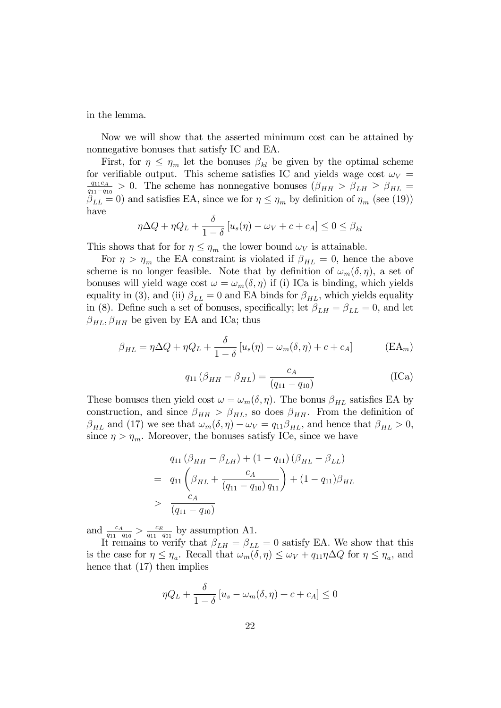in the lemma.

Now we will show that the asserted minimum cost can be attained by nonnegative bonuses that satisfy IC and EA.

First, for  $\eta \leq \eta_m$  let the bonuses  $\beta_{kl}$  be given by the optimal scheme for verifiable output. This scheme satisfies IC and yields wage cost  $\omega_V$  =  $q_{11}c_A$  $\frac{q_{11}q_{11}}{q_{11}-q_{10}} > 0$ . The scheme has nonnegative bonuses  $(\beta_{HH} > \beta_{LH} \ge \beta_{HL} =$  $\beta_{LL} = 0$  and satisfies EA, since we for  $\eta \leq \eta_m$  by definition of  $\eta_m$  (see (19)) have

$$
\eta \Delta Q + \eta Q_L + \frac{\delta}{1 - \delta} \left[ u_s(\eta) - \omega_V + c + c_A \right] \leq 0 \leq \beta_{kl}
$$

This shows that for for  $\eta \leq \eta_m$  the lower bound  $\omega_V$  is attainable.

For  $\eta > \eta_m$  the EA constraint is violated if  $\beta_{HL} = 0$ , hence the above scheme is no longer feasible. Note that by definition of  $\omega_m(\delta, \eta)$ , a set of bonuses will yield wage cost  $\omega = \omega_m(\delta, \eta)$  if (i) ICa is binding, which yields equality in (3), and (ii)  $\beta_{LL} = 0$  and EA binds for  $\beta_{HL}$ , which yields equality in (8). Define such a set of bonuses, specifically; let  $\beta_{LH} = \beta_{LL} = 0$ , and let  $\beta_{HL}$ ,  $\beta_{HH}$  be given by EA and ICa; thus

$$
\beta_{HL} = \eta \Delta Q + \eta Q_L + \frac{\delta}{1 - \delta} \left[ u_s(\eta) - \omega_m(\delta, \eta) + c + c_A \right] \tag{EA_m}
$$

$$
q_{11} (\beta_{HH} - \beta_{HL}) = \frac{c_A}{(q_{11} - q_{10})}
$$
 (ICa)

These bonuses then yield cost  $\omega = \omega_m(\delta, \eta)$ . The bonus  $\beta_{HL}$  satisfies EA by construction, and since  $\beta_{HH} > \beta_{HL}$ , so does  $\beta_{HH}$ . From the definition of  $\beta_{HL}$  and (17) we see that  $\omega_m(\delta, \eta) - \omega_V = q_{11}\beta_{HL}$ , and hence that  $\beta_{HL} > 0$ , since  $\eta > \eta_m$ . Moreover, the bonuses satisfy ICe, since we have

$$
q_{11} (\beta_{HH} - \beta_{LH}) + (1 - q_{11}) (\beta_{HL} - \beta_{LL})
$$
  
=  $q_{11} (\beta_{HL} + \frac{c_A}{(q_{11} - q_{10}) q_{11}}) + (1 - q_{11}) \beta_{HL}$   
>  $\frac{c_A}{(q_{11} - q_{10})}$ 

and  $\frac{c_A}{q_{11}-q_{10}} > \frac{c_E}{q_{11}-q_{10}}$  $rac{c_E}{q_{11}-q_{01}}$  by assumption A1.

It remains to verify that  $\beta_{LH} = \beta_{LL} = 0$  satisfy EA. We show that this is the case for  $\eta \leq \eta_a$ . Recall that  $\omega_m(\delta, \eta) \leq \omega_V + q_{11}\eta \Delta Q$  for  $\eta \leq \eta_a$ , and hence that (17) then implies

$$
\eta Q_L + \frac{\delta}{1-\delta} \left[ u_s - \omega_m(\delta, \eta) + c + c_A \right] \le 0
$$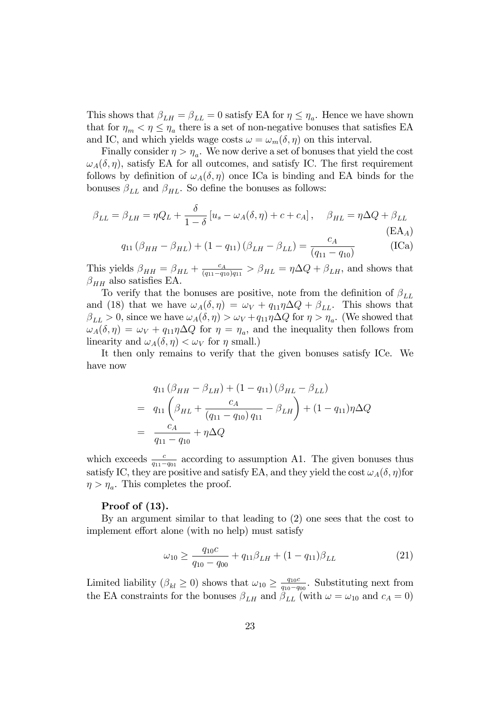This shows that  $\beta_{LH} = \beta_{LL} = 0$  satisfy EA for  $\eta \leq \eta_a$ . Hence we have shown that for  $\eta_m < \eta \leq \eta_a$  there is a set of non-negative bonuses that satisfies EA and IC, and which yields wage costs  $\omega = \omega_m(\delta, \eta)$  on this interval.

Finally consider  $\eta > \eta_a$ . We now derive a set of bonuses that yield the cost  $\omega_A(\delta, \eta)$ , satisfy EA for all outcomes, and satisfy IC. The first requirement follows by definition of  $\omega_A(\delta, \eta)$  once ICa is binding and EA binds for the bonuses  $\beta_{LL}$  and  $\beta_{HL}$ . So define the bonuses as follows:

$$
\beta_{LL} = \beta_{LH} = \eta Q_L + \frac{\delta}{1 - \delta} \left[ u_s - \omega_A(\delta, \eta) + c + c_A \right], \quad \beta_{HL} = \eta \Delta Q + \beta_{LL}
$$
\n(EA)

$$
q_{11} (\beta_{HH} - \beta_{HL}) + (1 - q_{11}) (\beta_{LH} - \beta_{LL}) = \frac{c_A}{(q_{11} - q_{10})}
$$
 (ICa)

This yields  $\beta_{HH} = \beta_{HL} + \frac{c_A}{(q_{11}-q_{1})}$  $\frac{c_A}{(q_{11}-q_{10})q_{11}} > \beta_{HL} = \eta \Delta Q + \beta_{LH}$ , and shows that  $\beta_{HH}$  also satisfies EA.

To verify that the bonuses are positive, note from the definition of  $\beta_{LL}$ and (18) that we have  $\omega_A(\delta, \eta) = \omega_V + q_{11}\eta \Delta Q + \beta_{LL}$ . This shows that  $\beta_{LL} > 0$ , since we have  $\omega_A(\delta, \eta) > \omega_V + q_{11}\eta \Delta Q$  for  $\eta > \eta_a$ . (We showed that  $\omega_A(\delta, \eta) = \omega_V + q_{11}\eta \Delta Q$  for  $\eta = \eta_a$ , and the inequality then follows from linearity and  $\omega_A(\delta, \eta) < \omega_V$  for  $\eta$  small.)

It then only remains to verify that the given bonuses satisfy ICe. We have now

$$
q_{11} (\beta_{HH} - \beta_{LH}) + (1 - q_{11}) (\beta_{HL} - \beta_{LL})
$$
  
=  $q_{11} (\beta_{HL} + \frac{c_A}{(q_{11} - q_{10}) q_{11}} - \beta_{LH}) + (1 - q_{11}) \eta \Delta Q$   
=  $\frac{c_A}{q_{11} - q_{10}} + \eta \Delta Q$ 

which exceeds  $\frac{c}{q_{11}-q_{01}}$  according to assumption A1. The given bonuses thus satisfy IC, they are positive and satisfy EA, and they yield the cost  $\omega_A(\delta, \eta)$  for  $\eta > \eta_a$ . This completes the proof.

### Proof of (13).

By an argument similar to that leading to (2) one sees that the cost to implement effort alone (with no help) must satisfy

$$
\omega_{10} \ge \frac{q_{10}c}{q_{10} - q_{00}} + q_{11}\beta_{LH} + (1 - q_{11})\beta_{LL} \tag{21}
$$

Limited liability  $(\beta_{kl} \geq 0)$  shows that  $\omega_{10} \geq \frac{q_{10}c}{q_{10}-q}$  $\frac{q_{10}c}{q_{10}-q_{00}}$ . Substituting next from the EA constraints for the bonuses  $\beta_{LH}$  and  $\beta_{LL}$  (with  $\omega = \omega_{10}$  and  $c_A = 0$ )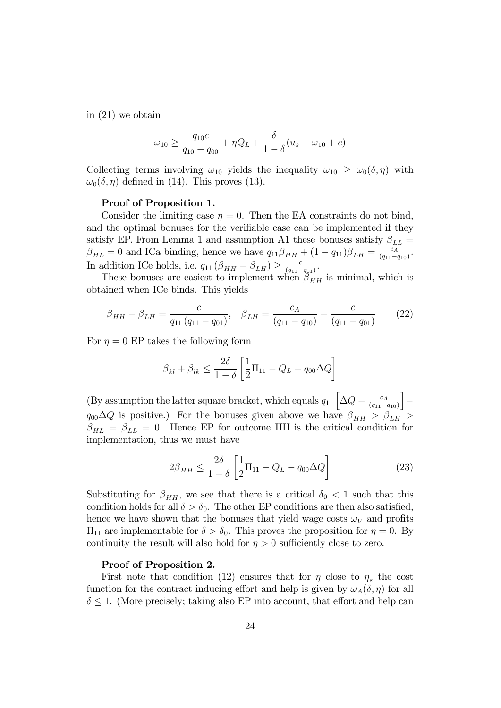in (21) we obtain

$$
\omega_{10} \ge \frac{q_{10}c}{q_{10} - q_{00}} + \eta Q_L + \frac{\delta}{1 - \delta}(u_s - \omega_{10} + c)
$$

Collecting terms involving  $\omega_{10}$  yields the inequality  $\omega_{10} \geq \omega_0(\delta, \eta)$  with  $\omega_0(\delta, \eta)$  defined in (14). This proves (13).

#### Proof of Proposition 1.

Consider the limiting case  $\eta = 0$ . Then the EA constraints do not bind, and the optimal bonuses for the verifiable case can be implemented if they satisfy EP. From Lemma 1 and assumption A1 these bonuses satisfy  $\beta_{LL} =$  $\beta_{HL} = 0$  and ICa binding, hence we have  $q_{11}\beta_{HH} + (1 - q_{11})\beta_{LH} = \frac{c_A}{(q_{11} - q_{12})^2}$  $\frac{c_A}{(q_{11}-q_{10})}$ . In addition ICe holds, i.e.  $q_{11} (\beta_{HH} - \beta_{LH}) \ge \frac{c}{(q_{11} - \beta_{LH})}$  $\frac{c}{(q_{11}-q_{01})}$ .

These bonuses are easiest to implement when  $\beta_{HH}$  is minimal, which is obtained when ICe binds. This yields

$$
\beta_{HH} - \beta_{LH} = \frac{c}{q_{11}(q_{11} - q_{01})}, \quad \beta_{LH} = \frac{c_A}{(q_{11} - q_{10})} - \frac{c}{(q_{11} - q_{01})}
$$
(22)

For  $\eta = 0$  EP takes the following form

$$
\beta_{kl} + \beta_{lk} \le \frac{2\delta}{1-\delta} \left[ \frac{1}{2} \Pi_{11} - Q_L - q_{00} \Delta Q \right]
$$

(By assumption the latter square bracket, which equals  $q_{11} \left[ \Delta Q - \frac{c_A}{(q_{11}-q_{12})^2} \right]$  $(q_{11}-q_{10})$ i Γ  $q_{00}\Delta Q$  is positive.) For the bonuses given above we have  $\beta_{HH} > \beta_{LH} >$  $\beta_{HL} = \beta_{LL} = 0$ . Hence EP for outcome HH is the critical condition for implementation, thus we must have

$$
2\beta_{HH} \le \frac{2\delta}{1-\delta} \left[ \frac{1}{2}\Pi_{11} - Q_L - q_{00}\Delta Q \right]
$$
 (23)

Substituting for  $\beta_{HH}$ , we see that there is a critical  $\delta_0 < 1$  such that this condition holds for all  $\delta > \delta_0$ . The other EP conditions are then also satisfied, hence we have shown that the bonuses that yield wage costs  $\omega_V$  and profits  $\Pi_{11}$  are implementable for  $\delta > \delta_0$ . This proves the proposition for  $\eta = 0$ . By continuity the result will also hold for  $\eta > 0$  sufficiently close to zero.

### Proof of Proposition 2.

First note that condition (12) ensures that for  $\eta$  close to  $\eta_s$  the cost function for the contract inducing effort and help is given by  $\omega_A(\delta, \eta)$  for all  $\delta \leq 1$ . (More precisely; taking also EP into account, that effort and help can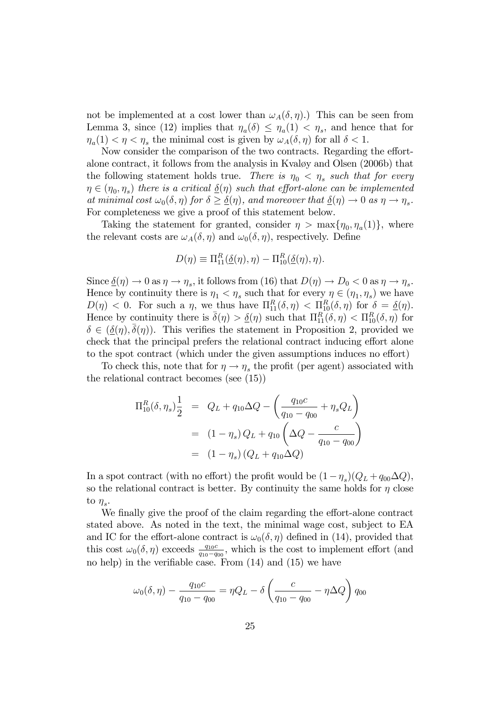not be implemented at a cost lower than  $\omega_A(\delta, \eta)$ .) This can be seen from Lemma 3, since (12) implies that  $\eta_a(\delta) \leq \eta_a(1) < \eta_s$ , and hence that for  $\eta_a(1) < \eta < \eta_s$  the minimal cost is given by  $\omega_A(\delta, \eta)$  for all  $\delta < 1$ .

Now consider the comparison of the two contracts. Regarding the effortalone contract, it follows from the analysis in Kvaløy and Olsen (2006b) that the following statement holds true. There is  $\eta_0 < \eta_s$  such that for every  $\eta \in (\eta_0, \eta_s)$  there is a critical  $\underline{\delta}(\eta)$  such that effort-alone can be implemented at minimal cost  $\omega_0(\delta, \eta)$  for  $\delta \geq \underline{\delta}(\eta)$ , and moreover that  $\underline{\delta}(\eta) \to 0$  as  $\eta \to \eta_s$ . For completeness we give a proof of this statement below.

Taking the statement for granted, consider  $\eta > \max{\{\eta_0, \eta_a(1)\}}$ , where the relevant costs are  $\omega_A(\delta, \eta)$  and  $\omega_0(\delta, \eta)$ , respectively. Define

$$
D(\eta) \equiv \Pi_{11}^R(\underline{\delta}(\eta), \eta) - \Pi_{10}^R(\underline{\delta}(\eta), \eta).
$$

Since  $\underline{\delta}(\eta) \to 0$  as  $\eta \to \eta_s$ , it follows from (16) that  $D(\eta) \to D_0 < 0$  as  $\eta \to \eta_s$ . Hence by continuity there is  $\eta_1 < \eta_s$  such that for every  $\eta \in (\eta_1, \eta_s)$  we have  $D(\eta) < 0$ . For such a  $\eta$ , we thus have  $\Pi_{11}^R(\delta, \eta) < \Pi_{10}^R(\delta, \eta)$  for  $\delta = \underline{\delta}(\eta)$ . Hence by continuity there is  $\bar{\delta}(\eta) > \underline{\delta}(\eta)$  such that  $\Pi_{11}^{R}(\delta, \eta) < \Pi_{10}^{R}(\delta, \eta)$  for  $\delta \in (\underline{\delta}(\eta), \overline{\delta}(\eta))$ . This verifies the statement in Proposition 2, provided we check that the principal prefers the relational contract inducing effort alone to the spot contract (which under the given assumptions induces no effort)

To check this, note that for  $\eta \to \eta_s$  the profit (per agent) associated with the relational contract becomes (see (15))

$$
\Pi_{10}^{R}(\delta, \eta_{s}) \frac{1}{2} = Q_{L} + q_{10} \Delta Q - \left(\frac{q_{10}c}{q_{10} - q_{00}} + \eta_{s} Q_{L}\right)
$$

$$
= (1 - \eta_{s}) Q_{L} + q_{10} \left(\Delta Q - \frac{c}{q_{10} - q_{00}}\right)
$$

$$
= (1 - \eta_{s}) (Q_{L} + q_{10} \Delta Q)
$$

In a spot contract (with no effort) the profit would be  $(1-\eta_s)(Q_L + q_{00}\Delta Q)$ , so the relational contract is better. By continuity the same holds for  $\eta$  close to  $\eta_s$ .

We finally give the proof of the claim regarding the effort-alone contract stated above. As noted in the text, the minimal wage cost, subject to EA and IC for the effort-alone contract is  $\omega_0(\delta, \eta)$  defined in (14), provided that this cost  $\omega_0(\delta, \eta)$  exceeds  $\frac{q_{10}c}{q_{10}-q_{00}}$ , which is the cost to implement effort (and no help) in the verifiable case. From  $(14)$  and  $(15)$  we have

$$
\omega_0(\delta, \eta) - \frac{q_{10}c}{q_{10} - q_{00}} = \eta Q_L - \delta \left( \frac{c}{q_{10} - q_{00}} - \eta \Delta Q \right) q_{00}
$$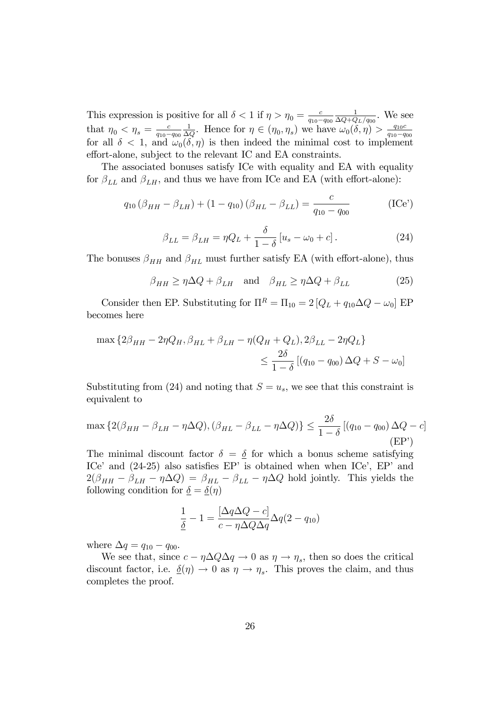This expression is positive for all  $\delta < 1$  if  $\eta > \eta_0 = \frac{c}{q_{10} - 1}$  $q_{10}-q_{00}$ 1  $\frac{1}{\Delta Q+Q_L/q_{00}}$ . We see that  $\eta_0 < \eta_s = \frac{c}{q_{10} - 1}$  $q_{10} - q_{00}$ 1  $\frac{1}{\Delta Q}$ . Hence for  $\eta \in (\eta_0, \eta_s)$  we have  $\omega_0(\delta, \eta) > \frac{q_{10}C}{q_{10}-q_{10}}$  $q_{10}-q_{00}$ for all  $\delta$  < 1, and  $\omega_0(\delta, \eta)$  is then indeed the minimal cost to implement effort-alone, subject to the relevant IC and EA constraints.

The associated bonuses satisfy ICe with equality and EA with equality for  $\beta_{LL}$  and  $\beta_{LH}$ , and thus we have from ICe and EA (with effort-alone):

$$
q_{10} (\beta_{HH} - \beta_{LH}) + (1 - q_{10}) (\beta_{HL} - \beta_{LL}) = \frac{c}{q_{10} - q_{00}} \tag{ICe'}
$$

$$
\beta_{LL} = \beta_{LH} = \eta Q_L + \frac{\delta}{1 - \delta} \left[ u_s - \omega_0 + c \right]. \tag{24}
$$

The bonuses  $\beta_{HH}$  and  $\beta_{HL}$  must further satisfy EA (with effort-alone), thus

$$
\beta_{HH} \ge \eta \Delta Q + \beta_{LH} \quad \text{and} \quad \beta_{HL} \ge \eta \Delta Q + \beta_{LL} \tag{25}
$$

Consider then EP. Substituting for  $\Pi^R = \Pi_{10} = 2 [Q_L + q_{10} \Delta Q - \omega_0]$  EP becomes here

$$
\max \{ 2\beta_{HH} - 2\eta Q_H, \beta_{HL} + \beta_{LH} - \eta (Q_H + Q_L), 2\beta_{LL} - 2\eta Q_L \}
$$
  

$$
\leq \frac{2\delta}{1 - \delta} [(q_{10} - q_{00}) \Delta Q + S - \omega_0]
$$

Substituting from (24) and noting that  $S = u_s$ , we see that this constraint is equivalent to

$$
\max\left\{2(\beta_{HH} - \beta_{LH} - \eta \Delta Q), (\beta_{HL} - \beta_{LL} - \eta \Delta Q)\right\} \le \frac{2\delta}{1-\delta} \left[ (q_{10} - q_{00}) \Delta Q - c \right]
$$
\n
$$
(EP')
$$

The minimal discount factor  $\delta = \delta$  for which a bonus scheme satisfying ICe<sup> $\prime$ </sup> and (24-25) also satisfies EP<sup> $\prime$ </sup> is obtained when when ICe<sup> $\prime$ </sup>, EP<sup> $\prime$ </sup> and  $2(\beta_{HH} - \beta_{LH} - \eta \Delta Q) = \beta_{HL} - \beta_{LL} - \eta \Delta Q$  hold jointly. This yields the following condition for  $\underline{\delta} = \underline{\delta}(\eta)$ 

$$
\frac{1}{\underline{\delta}} - 1 = \frac{[\Delta q \Delta Q - c]}{c - \eta \Delta Q \Delta q} \Delta q (2 - q_{10})
$$

where  $\Delta q = q_{10} - q_{00}$ .

We see that, since  $c - \eta \Delta Q \Delta q \to 0$  as  $\eta \to \eta_s$ , then so does the critical discount factor, i.e.  $\underline{\delta}(\eta) \to 0$  as  $\eta \to \eta_s$ . This proves the claim, and thus completes the proof.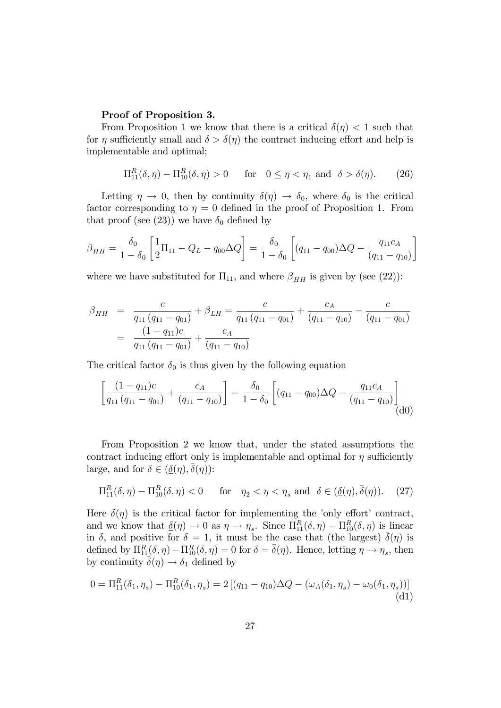### Proof of Proposition 3.

From Proposition 1 we know that there is a critical  $\delta(\eta) < 1$  such that for  $\eta$  sufficiently small and  $\delta > \delta(\eta)$  the contract inducing effort and help is implementable and optimal;

$$
\Pi_{11}^{R}(\delta,\eta) - \Pi_{10}^{R}(\delta,\eta) > 0 \qquad \text{for} \quad 0 \le \eta < \eta_1 \text{ and } \delta > \delta(\eta). \tag{26}
$$

Letting  $\eta \to 0$ , then by continuity  $\delta(\eta) \to \delta_0$ , where  $\delta_0$  is the critical factor corresponding to  $\eta = 0$  defined in the proof of Proposition 1. From that proof (see (23)) we have  $\delta_0$  defined by

$$
\beta_{HH} = \frac{\delta_0}{1 - \delta_0} \left[ \frac{1}{2} \Pi_{11} - Q_L - q_{00} \Delta Q \right] = \frac{\delta_0}{1 - \delta_0} \left[ (q_{11} - q_{00}) \Delta Q - \frac{q_{11} c_A}{(q_{11} - q_{10})} \right]
$$

where we have substituted for  $\Pi_{11}$ , and where  $\beta_{HH}$  is given by (see (22)):

$$
\beta_{HH} = \frac{c}{q_{11}(q_{11} - q_{01})} + \beta_{LH} = \frac{c}{q_{11}(q_{11} - q_{01})} + \frac{c_A}{(q_{11} - q_{10})} - \frac{c}{(q_{11} - q_{01})}
$$

$$
= \frac{(1 - q_{11})c}{q_{11}(q_{11} - q_{01})} + \frac{c_A}{(q_{11} - q_{10})}
$$

The critical factor  $\delta_0$  is thus given by the following equation

$$
\left[\frac{(1-q_{11})c}{q_{11}(q_{11}-q_{01})} + \frac{c_A}{(q_{11}-q_{10})}\right] = \frac{\delta_0}{1-\delta_0} \left[ (q_{11}-q_{00})\Delta Q - \frac{q_{11}c_A}{(q_{11}-q_{10})}\right]
$$
(d0)

From Proposition 2 we know that, under the stated assumptions the contract inducing effort only is implementable and optimal for  $\eta$  sufficiently large, and for  $\delta \in (\underline{\delta}(\eta), \overline{\delta}(\eta))$ :

$$
\Pi_{11}^{R}(\delta,\eta) - \Pi_{10}^{R}(\delta,\eta) < 0 \quad \text{for} \quad \eta_2 < \eta < \eta_s \text{ and } \delta \in (\underline{\delta}(\eta), \overline{\delta}(\eta)). \tag{27}
$$

Here  $\delta(\eta)$  is the critical factor for implementing the 'only effort' contract, and we know that  $\underline{\delta}(\eta) \to 0$  as  $\eta \to \eta_s$ . Since  $\Pi_{11}^R(\delta, \eta) - \Pi_{10}^R(\delta, \eta)$  is linear in  $\delta$ , and positive for  $\delta = 1$ , it must be the case that (the largest)  $\bar{\delta}(\eta)$  is defined by  $\Pi_{11}^R(\delta, \eta) - \Pi_{10}^R(\delta, \eta) = 0$  for  $\delta = \bar{\delta}(\eta)$ . Hence, letting  $\eta \to \eta_s$ , then by continuity  $\bar{\delta}(\eta) \rightarrow \delta_1$  defined by

$$
0 = \Pi_{11}^{R}(\delta_1, \eta_s) - \Pi_{10}^{R}(\delta_1, \eta_s) = 2 [(q_{11} - q_{10})\Delta Q - (\omega_A(\delta_1, \eta_s) - \omega_0(\delta_1, \eta_s))]
$$
(d1)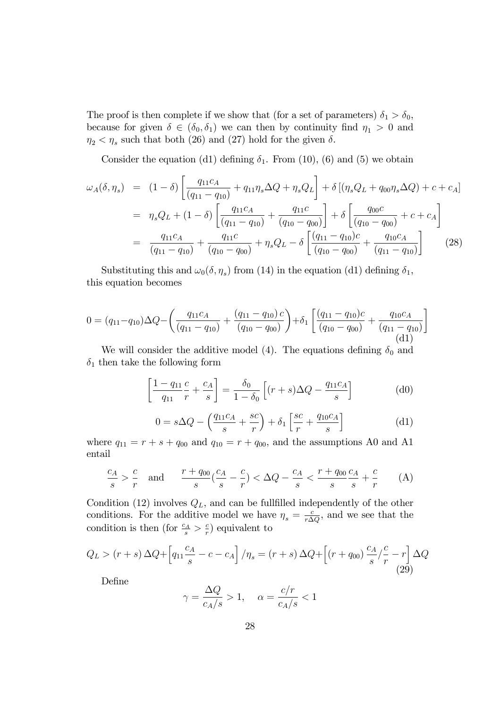The proof is then complete if we show that (for a set of parameters)  $\delta_1 > \delta_0$ , because for given  $\delta \in (\delta_0, \delta_1)$  we can then by continuity find  $\eta_1 > 0$  and  $\eta_2 < \eta_s$  such that both (26) and (27) hold for the given  $\delta$ .

Consider the equation (d1) defining  $\delta_1$ . From (10), (6) and (5) we obtain

$$
\omega_{A}(\delta,\eta_{s}) = (1-\delta) \left[ \frac{q_{11}c_{A}}{(q_{11}-q_{10})} + q_{11}\eta_{s}\Delta Q + \eta_{s}Q_{L} \right] + \delta \left[ (\eta_{s}Q_{L} + q_{00}\eta_{s}\Delta Q) + c + c_{A} \right]
$$

$$
= \eta_{s}Q_{L} + (1-\delta) \left[ \frac{q_{11}c_{A}}{(q_{11}-q_{10})} + \frac{q_{11}c}{(q_{10}-q_{00})} \right] + \delta \left[ \frac{q_{00}c}{(q_{10}-q_{00})} + c + c_{A} \right]
$$

$$
= \frac{q_{11}c_{A}}{(q_{11}-q_{10})} + \frac{q_{11}c}{(q_{10}-q_{00})} + \eta_{s}Q_{L} - \delta \left[ \frac{(q_{11}-q_{10})c}{(q_{10}-q_{00})} + \frac{q_{10}c_{A}}{(q_{11}-q_{10})} \right] \tag{28}
$$

Substituting this and  $\omega_0(\delta, \eta_s)$  from (14) in the equation (d1) defining  $\delta_1$ , this equation becomes

$$
0 = (q_{11} - q_{10})\Delta Q - \left(\frac{q_{11}c_A}{(q_{11} - q_{10})} + \frac{(q_{11} - q_{10})c}{(q_{10} - q_{00})}\right) + \delta_1 \left[\frac{(q_{11} - q_{10})c}{(q_{10} - q_{00})} + \frac{q_{10}c_A}{(q_{11} - q_{10})}\right]
$$
(d1)

We will consider the additive model (4). The equations defining  $\delta_0$  and  $\delta_1$  then take the following form

$$
\left[\frac{1-q_{11}}{q_{11}}\frac{c}{r} + \frac{c_A}{s}\right] = \frac{\delta_0}{1-\delta_0} \left[ (r+s)\Delta Q - \frac{q_{11}c_A}{s} \right] \tag{d0}
$$

$$
0 = s\Delta Q - \left(\frac{q_{11}c_A}{s} + \frac{sc}{r}\right) + \delta_1 \left[\frac{sc}{r} + \frac{q_{10}c_A}{s}\right]
$$
(d1)

where  $q_{11} = r + s + q_{00}$  and  $q_{10} = r + q_{00}$ , and the assumptions A0 and A1 entail

$$
\frac{c_A}{s} > \frac{c}{r} \quad \text{and} \qquad \frac{r + q_{00}}{s} \left( \frac{c_A}{s} - \frac{c}{r} \right) < \Delta Q - \frac{c_A}{s} < \frac{r + q_{00}}{s} \frac{c_A}{s} + \frac{c}{r} \tag{A}
$$

Condition (12) involves  $Q_L$ , and can be fullfilled independently of the other conditions. For the additive model we have  $\eta_s = \frac{c}{r\Delta}$  $\frac{c}{r\Delta Q}$ , and we see that the condition is then (for  $\frac{c_A}{s} > \frac{c}{r}$  $\frac{c}{r}$ ) equivalent to

$$
Q_L > (r+s)\Delta Q + \left[q_{11}\frac{c_A}{s} - c - c_A\right] / \eta_s = (r+s)\Delta Q + \left[(r+q_{00})\frac{c_A}{s}\left(\frac{c}{r} - r\right)\Delta Q\right]
$$
\n(29)

Define

$$
\gamma = \frac{\Delta Q}{c_A/s} > 1, \quad \alpha = \frac{c/r}{c_A/s} < 1
$$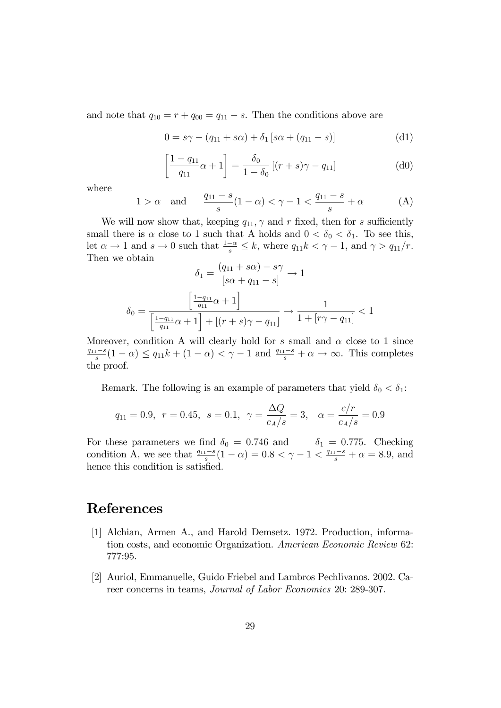and note that  $q_{10} = r + q_{00} = q_{11} - s$ . Then the conditions above are

$$
0 = s\gamma - (q_{11} + s\alpha) + \delta_1 [s\alpha + (q_{11} - s)]
$$
 (d1)

$$
\left[\frac{1 - q_{11}}{q_{11}}\alpha + 1\right] = \frac{\delta_0}{1 - \delta_0} \left[ (r + s)\gamma - q_{11} \right] \tag{d0}
$$

where

$$
1 > \alpha \quad \text{and} \quad \frac{q_{11} - s}{s}(1 - \alpha) < \gamma - 1 < \frac{q_{11} - s}{s} + \alpha \tag{A}
$$

We will now show that, keeping  $q_{11}$ ,  $\gamma$  and r fixed, then for s sufficiently small there is  $\alpha$  close to 1 such that A holds and  $0 < \delta_0 < \delta_1$ . To see this, let  $\alpha \to 1$  and  $s \to 0$  such that  $\frac{1-\alpha}{s} \leq k$ , where  $q_{11}k < \gamma - 1$ , and  $\gamma > q_{11}/r$ . Then we obtain

$$
\delta_1 = \frac{(q_{11} + s\alpha) - s\gamma}{[s\alpha + q_{11} - s]} \to 1
$$

$$
\delta_0 = \frac{\left[\frac{1 - q_{11}}{q_{11}}\alpha + 1\right]}{\left[\frac{1 - q_{11}}{q_{11}}\alpha + 1\right] + [(r + s)\gamma - q_{11}]} \to \frac{1}{1 + [r\gamma - q_{11}]} < 1
$$

Moreover, condition A will clearly hold for s small and  $\alpha$  close to 1 since  $\frac{q_{11}-s}{s}(1-\alpha) \leq q_{11}k + (1-\alpha) < \gamma-1$  and  $\frac{q_{11}-s}{s} + \alpha \to \infty$ . This completes the proof.

Remark. The following is an example of parameters that yield  $\delta_0 < \delta_1$ :

$$
q_{11} = 0.9
$$
,  $r = 0.45$ ,  $s = 0.1$ ,  $\gamma = \frac{\Delta Q}{c_A/s} = 3$ ,  $\alpha = \frac{c/r}{c_A/s} = 0.9$ 

For these parameters we find  $\delta_0 = 0.746$  and  $\delta_1 = 0.775$ . Checking condition A, we see that  $\frac{q_{11}-s}{s}(1-\alpha) = 0.8 < \gamma - 1 < \frac{q_{11}-s}{s} + \alpha = 8.9$ , and hence this condition is satisfied.

### References

- [1] Alchian, Armen A., and Harold Demsetz. 1972. Production, information costs, and economic Organization. American Economic Review 62: 777:95.
- [2] Auriol, Emmanuelle, Guido Friebel and Lambros Pechlivanos. 2002. Career concerns in teams, Journal of Labor Economics 20: 289-307.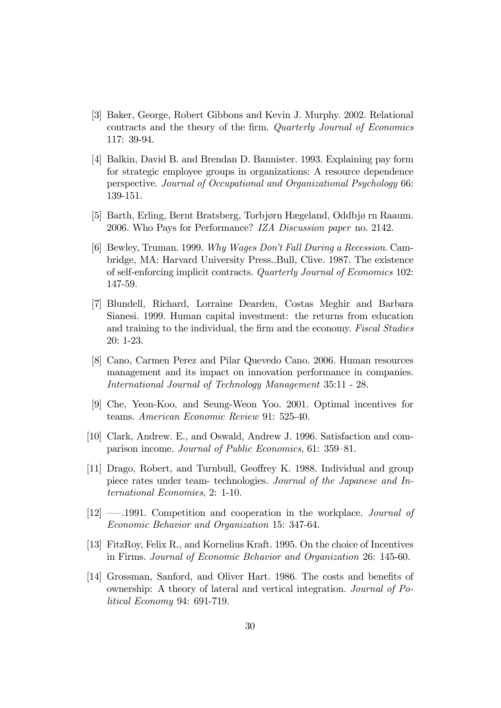- [3] Baker, George, Robert Gibbons and Kevin J. Murphy. 2002. Relational contracts and the theory of the firm. Quarterly Journal of Economics 117: 39-94.
- [4] Balkin, David B. and Brendan D. Bannister. 1993. Explaining pay form for strategic employee groups in organizations: A resource dependence perspective. Journal of Occupational and Organizational Psychology 66: 139-151.
- [5] Barth, Erling, Bernt Bratsberg, Torbjørn Hægeland, Oddbjø rn Raaum. 2006. Who Pays for Performance? IZA Discussion paper no. 2142.
- [6] Bewley, Truman. 1999. Why Wages Donít Fall During a Recession. Cambridge, MA: Harvard University Press..Bull, Clive. 1987. The existence of self-enforcing implicit contracts. Quarterly Journal of Economics 102: 147-59.
- [7] Blundell, Richard, Lorraine Dearden, Costas Meghir and Barbara Sianesi. 1999. Human capital investment: the returns from education and training to the individual, the firm and the economy. Fiscal Studies 20: 1-23.
- [8] Cano, Carmen Perez and Pilar Quevedo Cano. 2006. Human resources management and its impact on innovation performance in companies. International Journal of Technology Management 35:11 - 28.
- [9] Che, Yeon-Koo, and Seung-Weon Yoo. 2001. Optimal incentives for teams. American Economic Review 91: 525-40.
- [10] Clark, Andrew. E., and Oswald, Andrew J. 1996. Satisfaction and comparison income. Journal of Public Economics, 61: 359–81.
- [11] Drago, Robert, and Turnbull, Geoffrey K. 1988. Individual and group piece rates under team- technologies. Journal of the Japanese and International Economies, 2: 1-10.
- $[12]$  –1991. Competition and cooperation in the workplace. Journal of Economic Behavior and Organization 15: 347-64.
- [13] FitzRoy, Felix R., and Kornelius Kraft. 1995. On the choice of Incentives in Firms. Journal of Economic Behavior and Organization 26: 145-60.
- [14] Grossman, Sanford, and Oliver Hart. 1986. The costs and benefits of ownership: A theory of lateral and vertical integration. Journal of Political Economy 94: 691-719.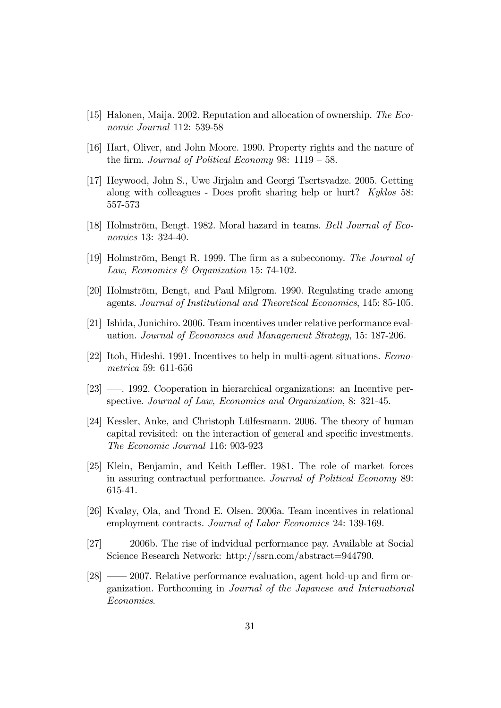- [15] Halonen, Maija. 2002. Reputation and allocation of ownership. The Economic Journal 112: 539-58
- [16] Hart, Oliver, and John Moore. 1990. Property rights and the nature of the firm. Journal of Political Economy 98:  $1119 - 58$ .
- [17] Heywood, John S., Uwe Jirjahn and Georgi Tsertsvadze. 2005. Getting along with colleagues - Does profit sharing help or hurt?  $Kyklos$  58: 557-573
- [18] Holmström, Bengt. 1982. Moral hazard in teams. Bell Journal of Economics 13: 324-40.
- [19] Holmström, Bengt R. 1999. The firm as a subeconomy. The Journal of Law, Economics & Organization 15: 74-102.
- [20] Holmström, Bengt, and Paul Milgrom. 1990. Regulating trade among agents. Journal of Institutional and Theoretical Economics, 145: 85-105.
- [21] Ishida, Junichiro. 2006. Team incentives under relative performance evaluation. Journal of Economics and Management Strategy, 15: 187-206.
- [22] Itoh, Hideshi. 1991. Incentives to help in multi-agent situations. Econometrica 59: 611-656
- $[23]$  1992. Cooperation in hierarchical organizations: an Incentive perspective. Journal of Law, Economics and Organization, 8: 321-45.
- [24] Kessler, Anke, and Christoph Lülfesmann. 2006. The theory of human capital revisited: on the interaction of general and specific investments. The Economic Journal 116: 903-923
- [25] Klein, Benjamin, and Keith Leffler. 1981. The role of market forces in assuring contractual performance. Journal of Political Economy 89: 615-41.
- [26] Kvaløy, Ola, and Trond E. Olsen. 2006a. Team incentives in relational employment contracts. Journal of Labor Economics 24: 139-169.
- $[27] \longrightarrow 2006$ b. The rise of indvidual performance pay. Available at Social Science Research Network: http://ssrn.com/abstract=944790.
- $[28] \longrightarrow 2007$ . Relative performance evaluation, agent hold-up and firm organization. Forthcoming in Journal of the Japanese and International Economies.